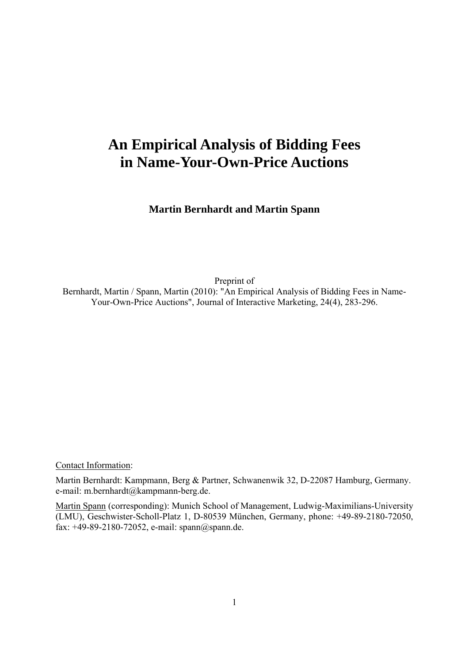# **An Empirical Analysis of Bidding Fees in Name-Your-Own-Price Auctions**

**Martin Bernhardt and Martin Spann** 

Preprint of

Bernhardt, Martin / Spann, Martin (2010): "An Empirical Analysis of Bidding Fees in Name-Your-Own-Price Auctions", Journal of Interactive Marketing, 24(4), 283-296.

Contact Information:

Martin Bernhardt: Kampmann, Berg & Partner, Schwanenwik 32, D-22087 Hamburg, Germany. e-mail: m.bernhardt@kampmann-berg.de.

Martin Spann (corresponding): Munich School of Management, Ludwig-Maximilians-University (LMU), Geschwister-Scholl-Platz 1, D-80539 München, Germany, phone: +49-89-2180-72050, fax: +49-89-2180-72052, e-mail: spann@spann.de.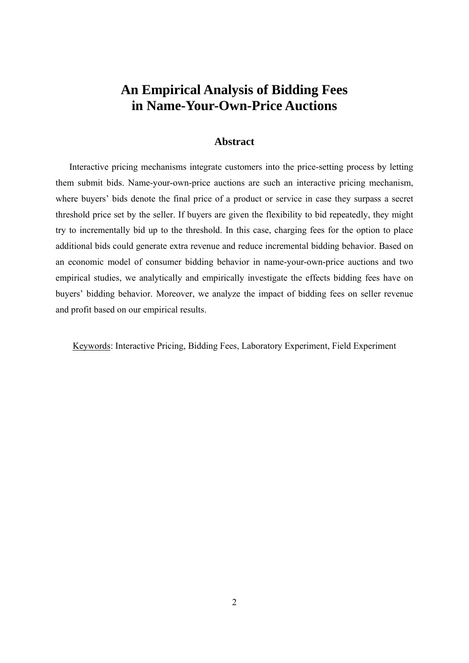## **An Empirical Analysis of Bidding Fees in Name-Your-Own-Price Auctions**

#### **Abstract**

Interactive pricing mechanisms integrate customers into the price-setting process by letting them submit bids. Name-your-own-price auctions are such an interactive pricing mechanism, where buyers' bids denote the final price of a product or service in case they surpass a secret threshold price set by the seller. If buyers are given the flexibility to bid repeatedly, they might try to incrementally bid up to the threshold. In this case, charging fees for the option to place additional bids could generate extra revenue and reduce incremental bidding behavior. Based on an economic model of consumer bidding behavior in name-your-own-price auctions and two empirical studies, we analytically and empirically investigate the effects bidding fees have on buyers' bidding behavior. Moreover, we analyze the impact of bidding fees on seller revenue and profit based on our empirical results.

Keywords: Interactive Pricing, Bidding Fees, Laboratory Experiment, Field Experiment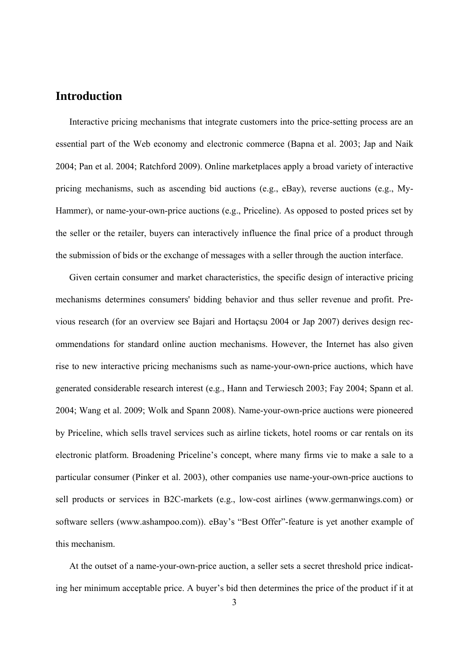## **Introduction**

Interactive pricing mechanisms that integrate customers into the price-setting process are an essential part of the Web economy and electronic commerce (Bapna et al. 2003; Jap and Naik 2004; Pan et al. 2004; Ratchford 2009). Online marketplaces apply a broad variety of interactive pricing mechanisms, such as ascending bid auctions (e.g., eBay), reverse auctions (e.g., My-Hammer), or name-your-own-price auctions (e.g., Priceline). As opposed to posted prices set by the seller or the retailer, buyers can interactively influence the final price of a product through the submission of bids or the exchange of messages with a seller through the auction interface.

Given certain consumer and market characteristics, the specific design of interactive pricing mechanisms determines consumers' bidding behavior and thus seller revenue and profit. Previous research (for an overview see Bajari and Hortaçsu 2004 or Jap 2007) derives design recommendations for standard online auction mechanisms. However, the Internet has also given rise to new interactive pricing mechanisms such as name-your-own-price auctions, which have generated considerable research interest (e.g., Hann and Terwiesch 2003; Fay 2004; Spann et al. 2004; Wang et al. 2009; Wolk and Spann 2008). Name-your-own-price auctions were pioneered by Priceline, which sells travel services such as airline tickets, hotel rooms or car rentals on its electronic platform. Broadening Priceline's concept, where many firms vie to make a sale to a particular consumer (Pinker et al. 2003), other companies use name-your-own-price auctions to sell products or services in B2C-markets (e.g., low-cost airlines (www.germanwings.com) or software sellers (www.ashampoo.com)). eBay's "Best Offer"-feature is yet another example of this mechanism.

At the outset of a name-your-own-price auction, a seller sets a secret threshold price indicating her minimum acceptable price. A buyer's bid then determines the price of the product if it at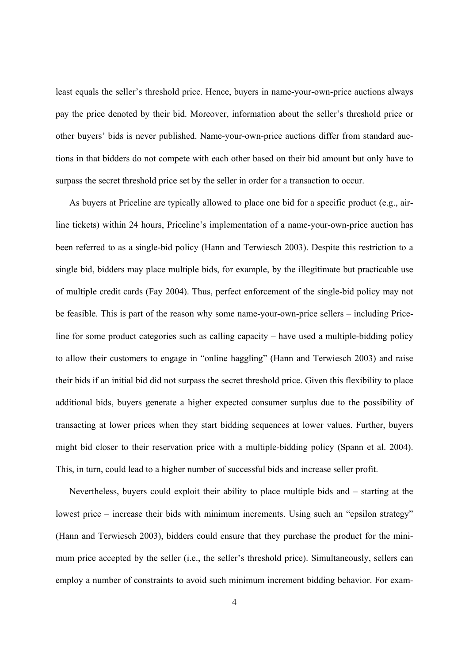least equals the seller's threshold price. Hence, buyers in name-your-own-price auctions always pay the price denoted by their bid. Moreover, information about the seller's threshold price or other buyers' bids is never published. Name-your-own-price auctions differ from standard auctions in that bidders do not compete with each other based on their bid amount but only have to surpass the secret threshold price set by the seller in order for a transaction to occur.

As buyers at Priceline are typically allowed to place one bid for a specific product (e.g., airline tickets) within 24 hours, Priceline's implementation of a name-your-own-price auction has been referred to as a single-bid policy (Hann and Terwiesch 2003). Despite this restriction to a single bid, bidders may place multiple bids, for example, by the illegitimate but practicable use of multiple credit cards (Fay 2004). Thus, perfect enforcement of the single-bid policy may not be feasible. This is part of the reason why some name-your-own-price sellers – including Priceline for some product categories such as calling capacity – have used a multiple-bidding policy to allow their customers to engage in "online haggling" (Hann and Terwiesch 2003) and raise their bids if an initial bid did not surpass the secret threshold price. Given this flexibility to place additional bids, buyers generate a higher expected consumer surplus due to the possibility of transacting at lower prices when they start bidding sequences at lower values. Further, buyers might bid closer to their reservation price with a multiple-bidding policy (Spann et al. 2004). This, in turn, could lead to a higher number of successful bids and increase seller profit.

Nevertheless, buyers could exploit their ability to place multiple bids and – starting at the lowest price – increase their bids with minimum increments. Using such an "epsilon strategy" (Hann and Terwiesch 2003), bidders could ensure that they purchase the product for the minimum price accepted by the seller (i.e., the seller's threshold price). Simultaneously, sellers can employ a number of constraints to avoid such minimum increment bidding behavior. For exam-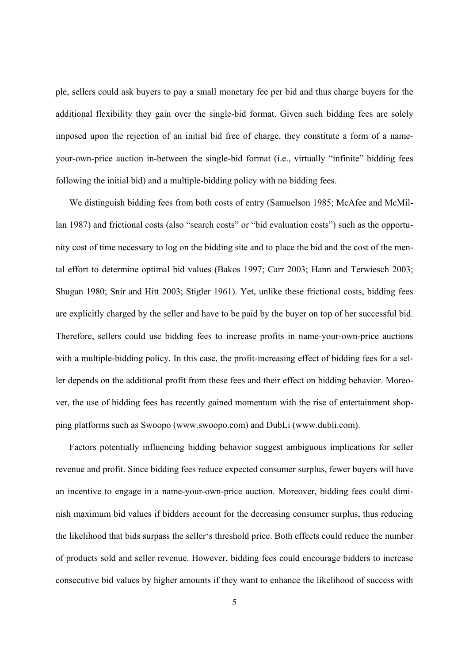ple, sellers could ask buyers to pay a small monetary fee per bid and thus charge buyers for the additional flexibility they gain over the single-bid format. Given such bidding fees are solely imposed upon the rejection of an initial bid free of charge, they constitute a form of a nameyour-own-price auction in-between the single-bid format (i.e., virtually "infinite" bidding fees following the initial bid) and a multiple-bidding policy with no bidding fees.

We distinguish bidding fees from both costs of entry (Samuelson 1985; McAfee and McMillan 1987) and frictional costs (also "search costs" or "bid evaluation costs") such as the opportunity cost of time necessary to log on the bidding site and to place the bid and the cost of the mental effort to determine optimal bid values (Bakos 1997; Carr 2003; Hann and Terwiesch 2003; Shugan 1980; Snir and Hitt 2003; Stigler 1961). Yet, unlike these frictional costs, bidding fees are explicitly charged by the seller and have to be paid by the buyer on top of her successful bid. Therefore, sellers could use bidding fees to increase profits in name-your-own-price auctions with a multiple-bidding policy. In this case, the profit-increasing effect of bidding fees for a seller depends on the additional profit from these fees and their effect on bidding behavior. Moreover, the use of bidding fees has recently gained momentum with the rise of entertainment shopping platforms such as Swoopo (www.swoopo.com) and DubLi (www.dubli.com).

Factors potentially influencing bidding behavior suggest ambiguous implications for seller revenue and profit. Since bidding fees reduce expected consumer surplus, fewer buyers will have an incentive to engage in a name-your-own-price auction. Moreover, bidding fees could diminish maximum bid values if bidders account for the decreasing consumer surplus, thus reducing the likelihood that bids surpass the seller's threshold price. Both effects could reduce the number of products sold and seller revenue. However, bidding fees could encourage bidders to increase consecutive bid values by higher amounts if they want to enhance the likelihood of success with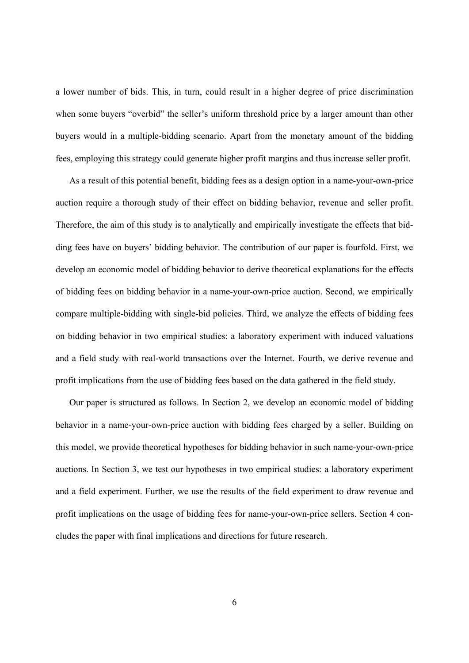a lower number of bids. This, in turn, could result in a higher degree of price discrimination when some buyers "overbid" the seller's uniform threshold price by a larger amount than other buyers would in a multiple-bidding scenario. Apart from the monetary amount of the bidding fees, employing this strategy could generate higher profit margins and thus increase seller profit.

As a result of this potential benefit, bidding fees as a design option in a name-your-own-price auction require a thorough study of their effect on bidding behavior, revenue and seller profit. Therefore, the aim of this study is to analytically and empirically investigate the effects that bidding fees have on buyers' bidding behavior. The contribution of our paper is fourfold. First, we develop an economic model of bidding behavior to derive theoretical explanations for the effects of bidding fees on bidding behavior in a name-your-own-price auction. Second, we empirically compare multiple-bidding with single-bid policies. Third, we analyze the effects of bidding fees on bidding behavior in two empirical studies: a laboratory experiment with induced valuations and a field study with real-world transactions over the Internet. Fourth, we derive revenue and profit implications from the use of bidding fees based on the data gathered in the field study.

Our paper is structured as follows. In Section 2, we develop an economic model of bidding behavior in a name-your-own-price auction with bidding fees charged by a seller. Building on this model, we provide theoretical hypotheses for bidding behavior in such name-your-own-price auctions. In Section 3, we test our hypotheses in two empirical studies: a laboratory experiment and a field experiment. Further, we use the results of the field experiment to draw revenue and profit implications on the usage of bidding fees for name-your-own-price sellers. Section 4 concludes the paper with final implications and directions for future research.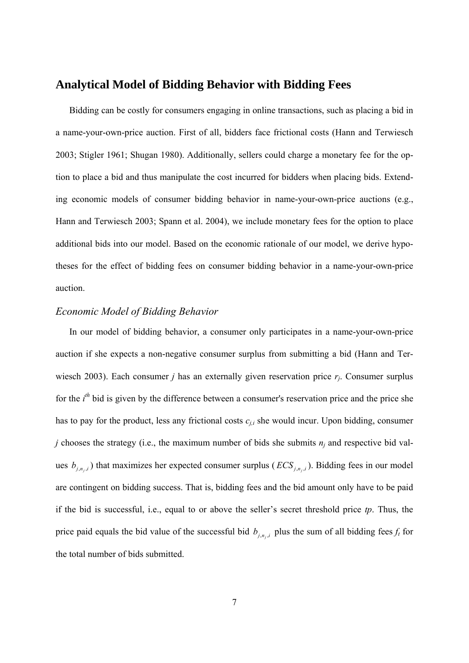#### **Analytical Model of Bidding Behavior with Bidding Fees**

Bidding can be costly for consumers engaging in online transactions, such as placing a bid in a name-your-own-price auction. First of all, bidders face frictional costs (Hann and Terwiesch 2003; Stigler 1961; Shugan 1980). Additionally, sellers could charge a monetary fee for the option to place a bid and thus manipulate the cost incurred for bidders when placing bids. Extending economic models of consumer bidding behavior in name-your-own-price auctions (e.g., Hann and Terwiesch 2003; Spann et al. 2004), we include monetary fees for the option to place additional bids into our model. Based on the economic rationale of our model, we derive hypotheses for the effect of bidding fees on consumer bidding behavior in a name-your-own-price auction.

#### *Economic Model of Bidding Behavior*

In our model of bidding behavior, a consumer only participates in a name-your-own-price auction if she expects a non-negative consumer surplus from submitting a bid (Hann and Terwiesch 2003). Each consumer *j* has an externally given reservation price *rj*. Consumer surplus for the *i*<sup>th</sup> bid is given by the difference between a consumer's reservation price and the price she has to pay for the product, less any frictional costs *cj,i* she would incur. Upon bidding, consumer *j* chooses the strategy (i.e., the maximum number of bids she submits *nj* and respective bid values  $b_{j,n_j,i}$ ) that maximizes her expected consumer surplus ( $ECS_{j,n_j,i}$ ). Bidding fees in our model are contingent on bidding success. That is, bidding fees and the bid amount only have to be paid if the bid is successful, i.e., equal to or above the seller's secret threshold price *tp*. Thus, the price paid equals the bid value of the successful bid  $b_{i,n,i}$  plus the sum of all bidding fees  $f_t$  for the total number of bids submitted.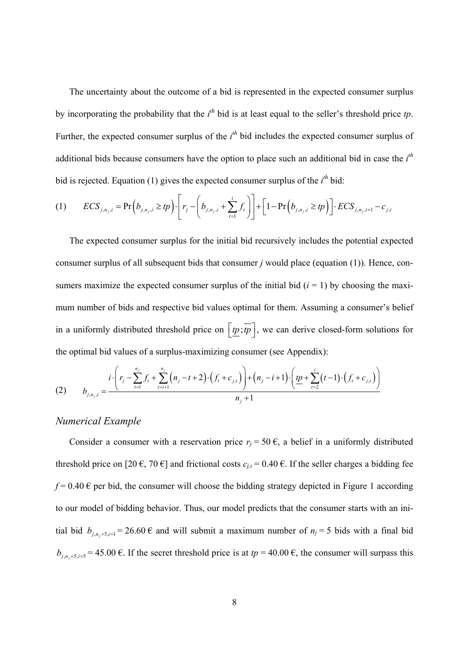The uncertainty about the outcome of a bid is represented in the expected consumer surplus by incorporating the probability that the  $i<sup>th</sup>$  bid is at least equal to the seller's threshold price  $tp$ . Further, the expected consumer surplus of the  $i<sup>th</sup>$  bid includes the expected consumer surplus of additional bids because consumers have the option to place such an additional bid in case the *i th* bid is rejected. Equation (1) gives the expected consumer surplus of the  $i<sup>th</sup>$  bid:

$$
(1) \qquad ECS_{j,n_j,i} = \Pr\Big(b_{j,n_j,i} \ge tp\Big) \cdot \left[ r_j - \left( b_{j,n_j,i} + \sum_{t=1}^i f_t \right) \right] + \left[ 1 - \Pr\Big(b_{j,n_j,i} \ge tp\Big) \right] \cdot ECS_{j,n_j,i+1} - c_{j,i}
$$

The expected consumer surplus for the initial bid recursively includes the potential expected consumer surplus of all subsequent bids that consumer *j* would place (equation (1)). Hence, consumers maximize the expected consumer surplus of the initial bid  $(i = 1)$  by choosing the maximum number of bids and respective bid values optimal for them. Assuming a consumer's belief in a uniformly distributed threshold price on  $\left[\underline{tp}, \overline{tp}\right]$ , we can derive closed-form solutions for the optimal bid values of a surplus-maximizing consumer (see Appendix):

(2) 
$$
b_{j,n_j,i} = \frac{i \cdot \left(r_j - \sum_{t=1}^{n_j} f_t + \sum_{t=i+1}^{n_j} \left(n_j - t + 2\right) \cdot \left(f_t + c_{j,t}\right)\right) + \left(n_j - i + 1\right) \cdot \left(\underbrace{tp + \sum_{t=2}^{i} (t-1) \cdot \left(f_t + c_{j,t}\right)}_{n_j + 1}\right)}_{n_j + 1}
$$

#### *Numerical Example*

Consider a consumer with a reservation price  $r_j = 50 \epsilon$ , a belief in a uniformly distributed threshold price on [20  $\epsilon$ , 70  $\epsilon$ ] and frictional costs  $c_{i,i} = 0.40 \epsilon$ . If the seller charges a bidding fee  $f = 0.40 \text{ }\epsilon$  per bid, the consumer will choose the bidding strategy depicted in Figure 1 according to our model of bidding behavior. Thus, our model predicts that the consumer starts with an initial bid  $b_{i,n} = 5$  iii  $j = 26.60 \in \text{and}$  will submit a maximum number of  $n_j = 5$  bids with a final bid  $b_{j,n_j=5,i=5} = 45.00 \text{ }\epsilon$ . If the secret threshold price is at  $tp = 40.00 \text{ }\epsilon$ , the consumer will surpass this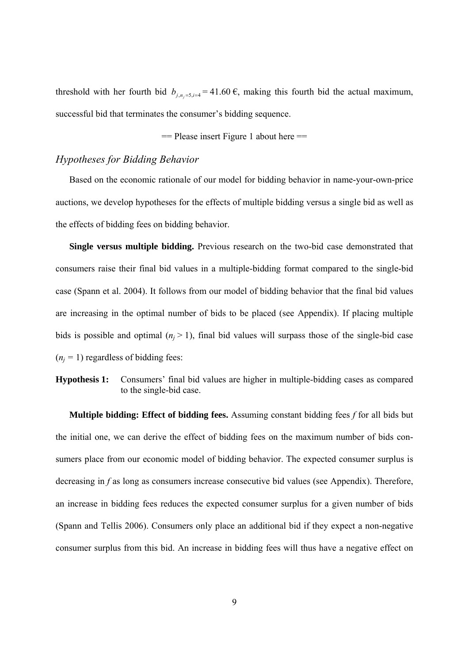threshold with her fourth bid  $b_{i,n}=5, j=4$  = 41.60 €, making this fourth bid the actual maximum, successful bid that terminates the consumer's bidding sequence.

 $=$  Please insert Figure 1 about here  $=$ 

#### *Hypotheses for Bidding Behavior*

Based on the economic rationale of our model for bidding behavior in name-your-own-price auctions, we develop hypotheses for the effects of multiple bidding versus a single bid as well as the effects of bidding fees on bidding behavior.

**Single versus multiple bidding.** Previous research on the two-bid case demonstrated that consumers raise their final bid values in a multiple-bidding format compared to the single-bid case (Spann et al. 2004). It follows from our model of bidding behavior that the final bid values are increasing in the optimal number of bids to be placed (see Appendix). If placing multiple bids is possible and optimal  $(n_i > 1)$ , final bid values will surpass those of the single-bid case  $(n<sub>i</sub> = 1)$  regardless of bidding fees:

**Hypothesis 1:** Consumers' final bid values are higher in multiple-bidding cases as compared to the single-bid case.

**Multiple bidding: Effect of bidding fees.** Assuming constant bidding fees *f* for all bids but the initial one, we can derive the effect of bidding fees on the maximum number of bids consumers place from our economic model of bidding behavior. The expected consumer surplus is decreasing in *f* as long as consumers increase consecutive bid values (see Appendix). Therefore, an increase in bidding fees reduces the expected consumer surplus for a given number of bids (Spann and Tellis 2006). Consumers only place an additional bid if they expect a non-negative consumer surplus from this bid. An increase in bidding fees will thus have a negative effect on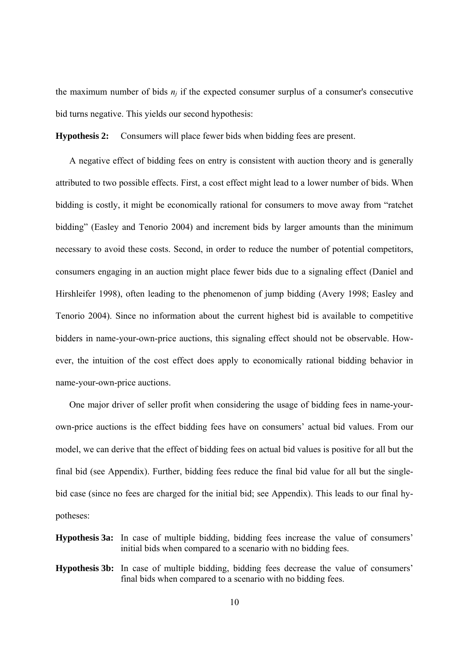the maximum number of bids  $n_i$  if the expected consumer surplus of a consumer's consecutive bid turns negative. This yields our second hypothesis:

**Hypothesis 2:** Consumers will place fewer bids when bidding fees are present.

A negative effect of bidding fees on entry is consistent with auction theory and is generally attributed to two possible effects. First, a cost effect might lead to a lower number of bids. When bidding is costly, it might be economically rational for consumers to move away from "ratchet bidding" (Easley and Tenorio 2004) and increment bids by larger amounts than the minimum necessary to avoid these costs. Second, in order to reduce the number of potential competitors, consumers engaging in an auction might place fewer bids due to a signaling effect (Daniel and Hirshleifer 1998), often leading to the phenomenon of jump bidding (Avery 1998; Easley and Tenorio 2004). Since no information about the current highest bid is available to competitive bidders in name-your-own-price auctions, this signaling effect should not be observable. However, the intuition of the cost effect does apply to economically rational bidding behavior in name-your-own-price auctions.

One major driver of seller profit when considering the usage of bidding fees in name-yourown-price auctions is the effect bidding fees have on consumers' actual bid values. From our model, we can derive that the effect of bidding fees on actual bid values is positive for all but the final bid (see Appendix). Further, bidding fees reduce the final bid value for all but the singlebid case (since no fees are charged for the initial bid; see Appendix). This leads to our final hypotheses:

- **Hypothesis 3a:** In case of multiple bidding, bidding fees increase the value of consumers' initial bids when compared to a scenario with no bidding fees.
- **Hypothesis 3b:** In case of multiple bidding, bidding fees decrease the value of consumers' final bids when compared to a scenario with no bidding fees.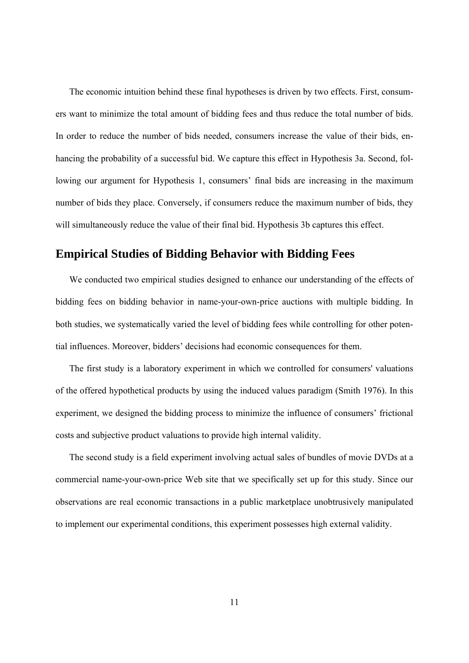The economic intuition behind these final hypotheses is driven by two effects. First, consumers want to minimize the total amount of bidding fees and thus reduce the total number of bids. In order to reduce the number of bids needed, consumers increase the value of their bids, enhancing the probability of a successful bid. We capture this effect in Hypothesis 3a. Second, following our argument for Hypothesis 1, consumers' final bids are increasing in the maximum number of bids they place. Conversely, if consumers reduce the maximum number of bids, they will simultaneously reduce the value of their final bid. Hypothesis 3b captures this effect.

## **Empirical Studies of Bidding Behavior with Bidding Fees**

We conducted two empirical studies designed to enhance our understanding of the effects of bidding fees on bidding behavior in name-your-own-price auctions with multiple bidding. In both studies, we systematically varied the level of bidding fees while controlling for other potential influences. Moreover, bidders' decisions had economic consequences for them.

The first study is a laboratory experiment in which we controlled for consumers' valuations of the offered hypothetical products by using the induced values paradigm (Smith 1976). In this experiment, we designed the bidding process to minimize the influence of consumers' frictional costs and subjective product valuations to provide high internal validity.

The second study is a field experiment involving actual sales of bundles of movie DVDs at a commercial name-your-own-price Web site that we specifically set up for this study. Since our observations are real economic transactions in a public marketplace unobtrusively manipulated to implement our experimental conditions, this experiment possesses high external validity.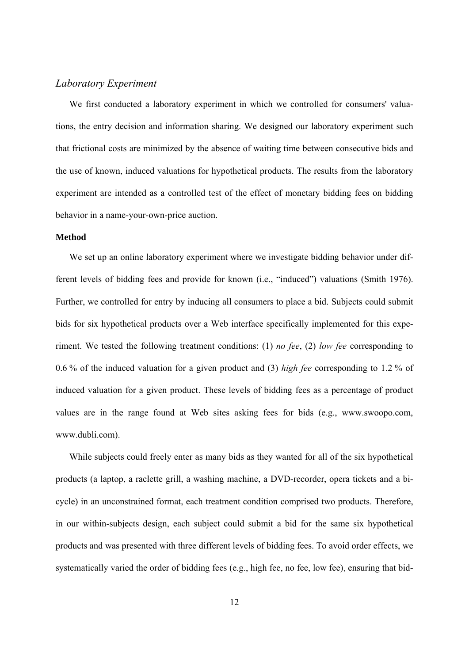#### *Laboratory Experiment*

We first conducted a laboratory experiment in which we controlled for consumers' valuations, the entry decision and information sharing. We designed our laboratory experiment such that frictional costs are minimized by the absence of waiting time between consecutive bids and the use of known, induced valuations for hypothetical products. The results from the laboratory experiment are intended as a controlled test of the effect of monetary bidding fees on bidding behavior in a name-your-own-price auction.

#### **Method**

We set up an online laboratory experiment where we investigate bidding behavior under different levels of bidding fees and provide for known (i.e., "induced") valuations (Smith 1976). Further, we controlled for entry by inducing all consumers to place a bid. Subjects could submit bids for six hypothetical products over a Web interface specifically implemented for this experiment. We tested the following treatment conditions: (1) *no fee*, (2) *low fee* corresponding to 0.6 % of the induced valuation for a given product and (3) *high fee* corresponding to 1.2 % of induced valuation for a given product. These levels of bidding fees as a percentage of product values are in the range found at Web sites asking fees for bids (e.g., www.swoopo.com, www.dubli.com).

While subjects could freely enter as many bids as they wanted for all of the six hypothetical products (a laptop, a raclette grill, a washing machine, a DVD-recorder, opera tickets and a bicycle) in an unconstrained format, each treatment condition comprised two products. Therefore, in our within-subjects design, each subject could submit a bid for the same six hypothetical products and was presented with three different levels of bidding fees. To avoid order effects, we systematically varied the order of bidding fees (e.g., high fee, no fee, low fee), ensuring that bid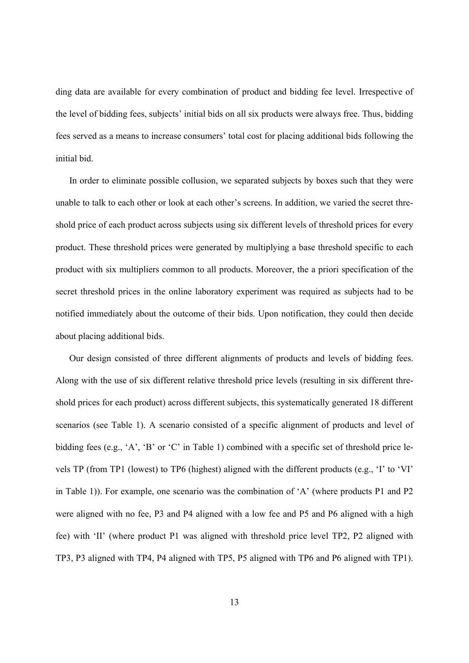ding data are available for every combination of product and bidding fee level. Irrespective of the level of bidding fees, subjects' initial bids on all six products were always free. Thus, bidding fees served as a means to increase consumers' total cost for placing additional bids following the initial bid.

In order to eliminate possible collusion, we separated subjects by boxes such that they were unable to talk to each other or look at each other's screens. In addition, we varied the secret threshold price of each product across subjects using six different levels of threshold prices for every product. These threshold prices were generated by multiplying a base threshold specific to each product with six multipliers common to all products. Moreover, the a priori specification of the secret threshold prices in the online laboratory experiment was required as subjects had to be notified immediately about the outcome of their bids. Upon notification, they could then decide about placing additional bids.

Our design consisted of three different alignments of products and levels of bidding fees. Along with the use of six different relative threshold price levels (resulting in six different threshold prices for each product) across different subjects, this systematically generated 18 different scenarios (see Table 1). A scenario consisted of a specific alignment of products and level of bidding fees (e.g., 'A', 'B' or 'C' in Table 1) combined with a specific set of threshold price levels TP (from TP1 (lowest) to TP6 (highest) aligned with the different products (e.g., 'I' to 'VI' in Table 1)). For example, one scenario was the combination of 'A' (where products P1 and P2 were aligned with no fee, P3 and P4 aligned with a low fee and P5 and P6 aligned with a high fee) with 'II' (where product P1 was aligned with threshold price level TP2, P2 aligned with TP3, P3 aligned with TP4, P4 aligned with TP5, P5 aligned with TP6 and P6 aligned with TP1).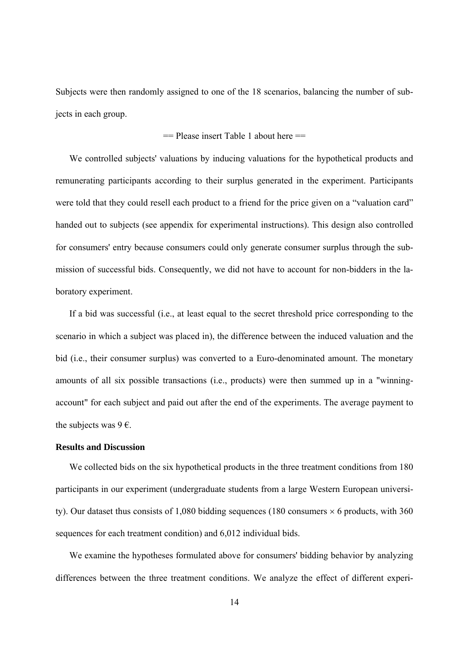Subjects were then randomly assigned to one of the 18 scenarios, balancing the number of subjects in each group.

#### $=$  Please insert Table 1 about here  $=$

We controlled subjects' valuations by inducing valuations for the hypothetical products and remunerating participants according to their surplus generated in the experiment. Participants were told that they could resell each product to a friend for the price given on a "valuation card" handed out to subjects (see appendix for experimental instructions). This design also controlled for consumers' entry because consumers could only generate consumer surplus through the submission of successful bids. Consequently, we did not have to account for non-bidders in the laboratory experiment.

If a bid was successful (i.e., at least equal to the secret threshold price corresponding to the scenario in which a subject was placed in), the difference between the induced valuation and the bid (i.e., their consumer surplus) was converted to a Euro-denominated amount. The monetary amounts of all six possible transactions (i.e., products) were then summed up in a "winningaccount" for each subject and paid out after the end of the experiments. The average payment to the subjects was  $9 \epsilon$ .

#### **Results and Discussion**

We collected bids on the six hypothetical products in the three treatment conditions from 180 participants in our experiment (undergraduate students from a large Western European university). Our dataset thus consists of 1,080 bidding sequences (180 consumers  $\times$  6 products, with 360 sequences for each treatment condition) and 6,012 individual bids.

We examine the hypotheses formulated above for consumers' bidding behavior by analyzing differences between the three treatment conditions. We analyze the effect of different experi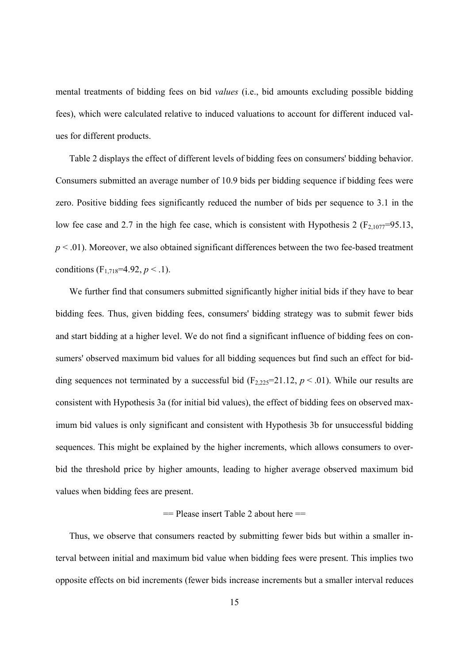mental treatments of bidding fees on bid *values* (i.e., bid amounts excluding possible bidding fees), which were calculated relative to induced valuations to account for different induced values for different products.

Table 2 displays the effect of different levels of bidding fees on consumers' bidding behavior. Consumers submitted an average number of 10.9 bids per bidding sequence if bidding fees were zero. Positive bidding fees significantly reduced the number of bids per sequence to 3.1 in the low fee case and 2.7 in the high fee case, which is consistent with Hypothesis 2 ( $F_{2,1077}=95.13$ ,  $p < .01$ ). Moreover, we also obtained significant differences between the two fee-based treatment conditions  $(F_{1,718}=4.92, p<.1)$ .

We further find that consumers submitted significantly higher initial bids if they have to bear bidding fees. Thus, given bidding fees, consumers' bidding strategy was to submit fewer bids and start bidding at a higher level. We do not find a significant influence of bidding fees on consumers' observed maximum bid values for all bidding sequences but find such an effect for bidding sequences not terminated by a successful bid  $(F_{2,225}=21.12, p < .01)$ . While our results are consistent with Hypothesis 3a (for initial bid values), the effect of bidding fees on observed maximum bid values is only significant and consistent with Hypothesis 3b for unsuccessful bidding sequences. This might be explained by the higher increments, which allows consumers to overbid the threshold price by higher amounts, leading to higher average observed maximum bid values when bidding fees are present.

#### $=$  Please insert Table 2 about here  $=$

Thus, we observe that consumers reacted by submitting fewer bids but within a smaller interval between initial and maximum bid value when bidding fees were present. This implies two opposite effects on bid increments (fewer bids increase increments but a smaller interval reduces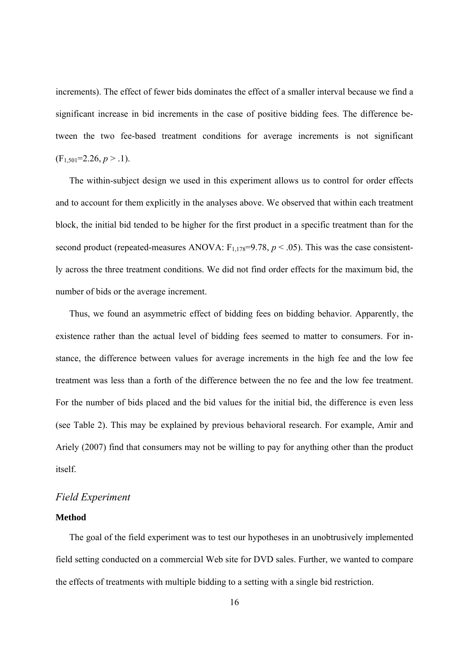increments). The effect of fewer bids dominates the effect of a smaller interval because we find a significant increase in bid increments in the case of positive bidding fees. The difference between the two fee-based treatment conditions for average increments is not significant  $(F<sub>1.501</sub>=2.26, p > .1).$ 

The within-subject design we used in this experiment allows us to control for order effects and to account for them explicitly in the analyses above. We observed that within each treatment block, the initial bid tended to be higher for the first product in a specific treatment than for the second product (repeated-measures ANOVA:  $F_{1,178}=9.78$ ,  $p < .05$ ). This was the case consistently across the three treatment conditions. We did not find order effects for the maximum bid, the number of bids or the average increment.

Thus, we found an asymmetric effect of bidding fees on bidding behavior. Apparently, the existence rather than the actual level of bidding fees seemed to matter to consumers. For instance, the difference between values for average increments in the high fee and the low fee treatment was less than a forth of the difference between the no fee and the low fee treatment. For the number of bids placed and the bid values for the initial bid, the difference is even less (see Table 2). This may be explained by previous behavioral research. For example, Amir and Ariely (2007) find that consumers may not be willing to pay for anything other than the product itself.

#### *Field Experiment*

#### **Method**

The goal of the field experiment was to test our hypotheses in an unobtrusively implemented field setting conducted on a commercial Web site for DVD sales. Further, we wanted to compare the effects of treatments with multiple bidding to a setting with a single bid restriction.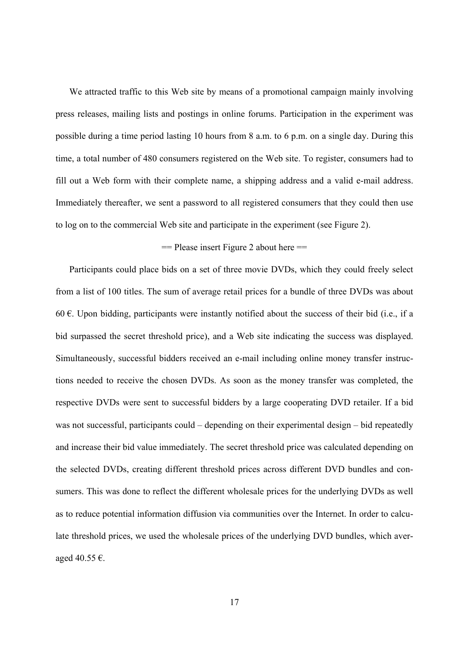We attracted traffic to this Web site by means of a promotional campaign mainly involving press releases, mailing lists and postings in online forums. Participation in the experiment was possible during a time period lasting 10 hours from 8 a.m. to 6 p.m. on a single day. During this time, a total number of 480 consumers registered on the Web site. To register, consumers had to fill out a Web form with their complete name, a shipping address and a valid e-mail address. Immediately thereafter, we sent a password to all registered consumers that they could then use to log on to the commercial Web site and participate in the experiment (see Figure 2).

#### $=$  Please insert Figure 2 about here  $=$

Participants could place bids on a set of three movie DVDs, which they could freely select from a list of 100 titles. The sum of average retail prices for a bundle of three DVDs was about 60  $\epsilon$ . Upon bidding, participants were instantly notified about the success of their bid (i.e., if a bid surpassed the secret threshold price), and a Web site indicating the success was displayed. Simultaneously, successful bidders received an e-mail including online money transfer instructions needed to receive the chosen DVDs. As soon as the money transfer was completed, the respective DVDs were sent to successful bidders by a large cooperating DVD retailer. If a bid was not successful, participants could – depending on their experimental design – bid repeatedly and increase their bid value immediately. The secret threshold price was calculated depending on the selected DVDs, creating different threshold prices across different DVD bundles and consumers. This was done to reflect the different wholesale prices for the underlying DVDs as well as to reduce potential information diffusion via communities over the Internet. In order to calculate threshold prices, we used the wholesale prices of the underlying DVD bundles, which averaged 40.55 €.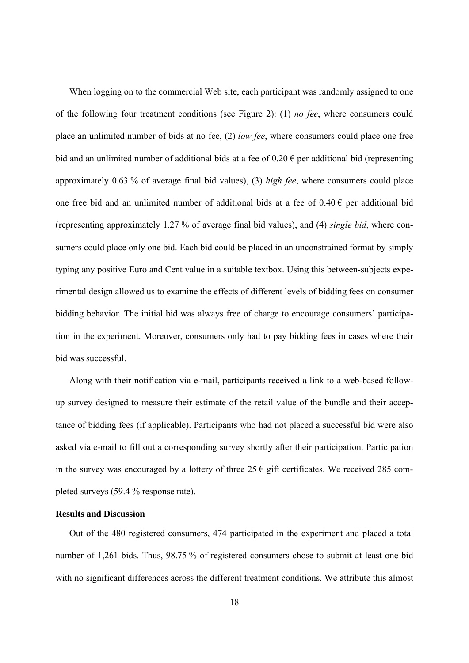When logging on to the commercial Web site, each participant was randomly assigned to one of the following four treatment conditions (see Figure 2): (1) *no fee*, where consumers could place an unlimited number of bids at no fee, (2) *low fee*, where consumers could place one free bid and an unlimited number of additional bids at a fee of  $0.20 \in$  per additional bid (representing approximately 0.63 % of average final bid values), (3) *high fee*, where consumers could place one free bid and an unlimited number of additional bids at a fee of  $0.40 \in$  per additional bid (representing approximately 1.27 % of average final bid values), and (4) *single bid*, where consumers could place only one bid. Each bid could be placed in an unconstrained format by simply typing any positive Euro and Cent value in a suitable textbox. Using this between-subjects experimental design allowed us to examine the effects of different levels of bidding fees on consumer bidding behavior. The initial bid was always free of charge to encourage consumers' participation in the experiment. Moreover, consumers only had to pay bidding fees in cases where their bid was successful.

Along with their notification via e-mail, participants received a link to a web-based followup survey designed to measure their estimate of the retail value of the bundle and their acceptance of bidding fees (if applicable). Participants who had not placed a successful bid were also asked via e-mail to fill out a corresponding survey shortly after their participation. Participation in the survey was encouraged by a lottery of three 25  $\epsilon$  gift certificates. We received 285 completed surveys (59.4 % response rate).

#### **Results and Discussion**

Out of the 480 registered consumers, 474 participated in the experiment and placed a total number of 1,261 bids. Thus, 98.75 % of registered consumers chose to submit at least one bid with no significant differences across the different treatment conditions. We attribute this almost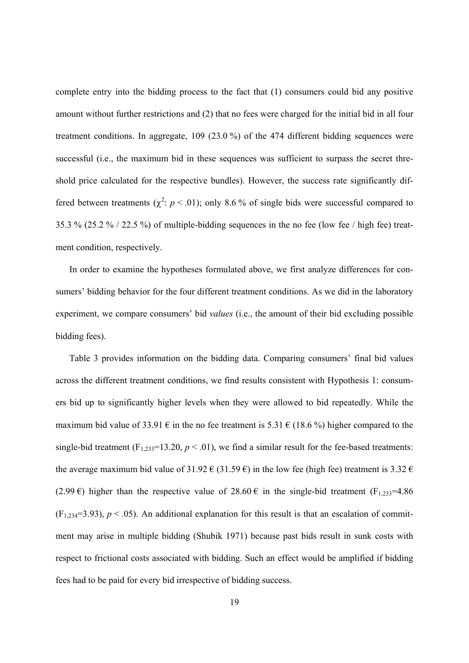complete entry into the bidding process to the fact that (1) consumers could bid any positive amount without further restrictions and (2) that no fees were charged for the initial bid in all four treatment conditions. In aggregate, 109 (23.0 %) of the 474 different bidding sequences were successful (i.e., the maximum bid in these sequences was sufficient to surpass the secret threshold price calculated for the respective bundles). However, the success rate significantly differed between treatments ( $\chi^2$ :  $p < .01$ ); only 8.6% of single bids were successful compared to 35.3 % (25.2 % / 22.5 %) of multiple-bidding sequences in the no fee (low fee / high fee) treatment condition, respectively.

In order to examine the hypotheses formulated above, we first analyze differences for consumers' bidding behavior for the four different treatment conditions. As we did in the laboratory experiment, we compare consumers' bid *values* (i.e., the amount of their bid excluding possible bidding fees).

Table 3 provides information on the bidding data. Comparing consumers' final bid values across the different treatment conditions, we find results consistent with Hypothesis 1: consumers bid up to significantly higher levels when they were allowed to bid repeatedly. While the maximum bid value of 33.91  $\epsilon$  in the no fee treatment is 5.31  $\epsilon$  (18.6%) higher compared to the single-bid treatment  $(F_{1,233}=13.20, p \le 0.01)$ , we find a similar result for the fee-based treatments: the average maximum bid value of 31.92  $\in$  (31.59  $\in$ ) in the low fee (high fee) treatment is 3.32  $\in$ (2.99 €) higher than the respective value of 28.60 € in the single-bid treatment (F<sub>1,233</sub>=4.86)  $(F_{1,234}=3.93)$ ,  $p < .05$ ). An additional explanation for this result is that an escalation of commitment may arise in multiple bidding (Shubik 1971) because past bids result in sunk costs with respect to frictional costs associated with bidding. Such an effect would be amplified if bidding fees had to be paid for every bid irrespective of bidding success.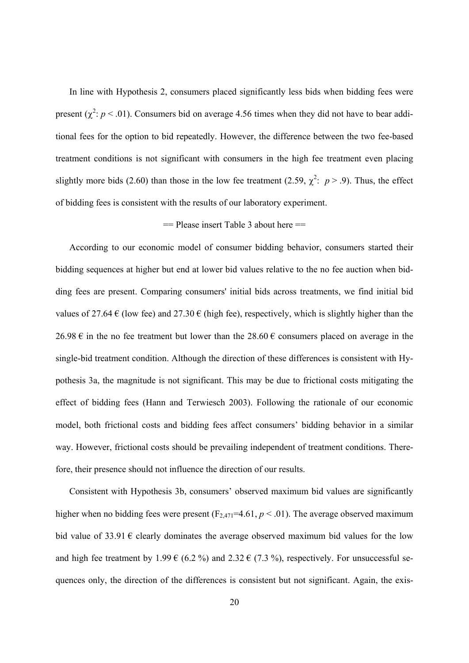In line with Hypothesis 2, consumers placed significantly less bids when bidding fees were present ( $\chi^2$ :  $p$  < .01). Consumers bid on average 4.56 times when they did not have to bear additional fees for the option to bid repeatedly. However, the difference between the two fee-based treatment conditions is not significant with consumers in the high fee treatment even placing slightly more bids (2.60) than those in the low fee treatment (2.59,  $\chi^2$ :  $p > .9$ ). Thus, the effect of bidding fees is consistent with the results of our laboratory experiment.

#### == Please insert Table 3 about here ==

According to our economic model of consumer bidding behavior, consumers started their bidding sequences at higher but end at lower bid values relative to the no fee auction when bidding fees are present. Comparing consumers' initial bids across treatments, we find initial bid values of 27.64  $\epsilon$  (low fee) and 27.30  $\epsilon$  (high fee), respectively, which is slightly higher than the 26.98 € in the no fee treatment but lower than the 28.60 € consumers placed on average in the single-bid treatment condition. Although the direction of these differences is consistent with Hypothesis 3a, the magnitude is not significant. This may be due to frictional costs mitigating the effect of bidding fees (Hann and Terwiesch 2003). Following the rationale of our economic model, both frictional costs and bidding fees affect consumers' bidding behavior in a similar way. However, frictional costs should be prevailing independent of treatment conditions. Therefore, their presence should not influence the direction of our results.

Consistent with Hypothesis 3b, consumers' observed maximum bid values are significantly higher when no bidding fees were present  $(F_{2,471}=4.61, p \le 0.01)$ . The average observed maximum bid value of 33.91  $\epsilon$  clearly dominates the average observed maximum bid values for the low and high fee treatment by 1.99  $\in$  (6.2 %) and 2.32  $\in$  (7.3 %), respectively. For unsuccessful sequences only, the direction of the differences is consistent but not significant. Again, the exis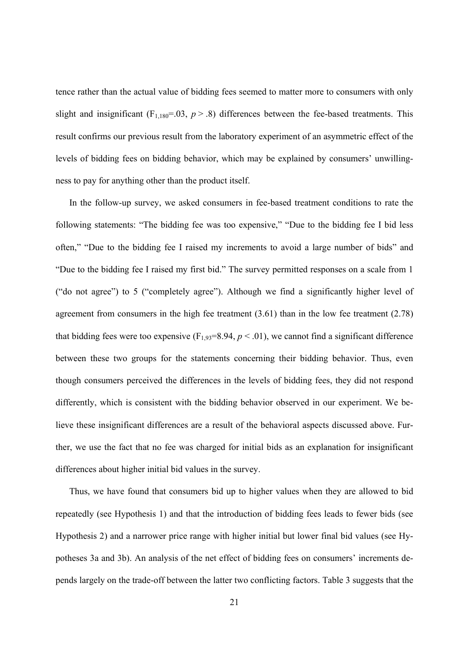tence rather than the actual value of bidding fees seemed to matter more to consumers with only slight and insignificant ( $F_{1,180}$ =.03,  $p > .8$ ) differences between the fee-based treatments. This result confirms our previous result from the laboratory experiment of an asymmetric effect of the levels of bidding fees on bidding behavior, which may be explained by consumers' unwillingness to pay for anything other than the product itself.

In the follow-up survey, we asked consumers in fee-based treatment conditions to rate the following statements: "The bidding fee was too expensive," "Due to the bidding fee I bid less often," "Due to the bidding fee I raised my increments to avoid a large number of bids" and "Due to the bidding fee I raised my first bid." The survey permitted responses on a scale from 1 ("do not agree") to 5 ("completely agree"). Although we find a significantly higher level of agreement from consumers in the high fee treatment (3.61) than in the low fee treatment (2.78) that bidding fees were too expensive  $(F_{1,93}=8.94, p<.01)$ , we cannot find a significant difference between these two groups for the statements concerning their bidding behavior. Thus, even though consumers perceived the differences in the levels of bidding fees, they did not respond differently, which is consistent with the bidding behavior observed in our experiment. We believe these insignificant differences are a result of the behavioral aspects discussed above. Further, we use the fact that no fee was charged for initial bids as an explanation for insignificant differences about higher initial bid values in the survey.

Thus, we have found that consumers bid up to higher values when they are allowed to bid repeatedly (see Hypothesis 1) and that the introduction of bidding fees leads to fewer bids (see Hypothesis 2) and a narrower price range with higher initial but lower final bid values (see Hypotheses 3a and 3b). An analysis of the net effect of bidding fees on consumers' increments depends largely on the trade-off between the latter two conflicting factors. Table 3 suggests that the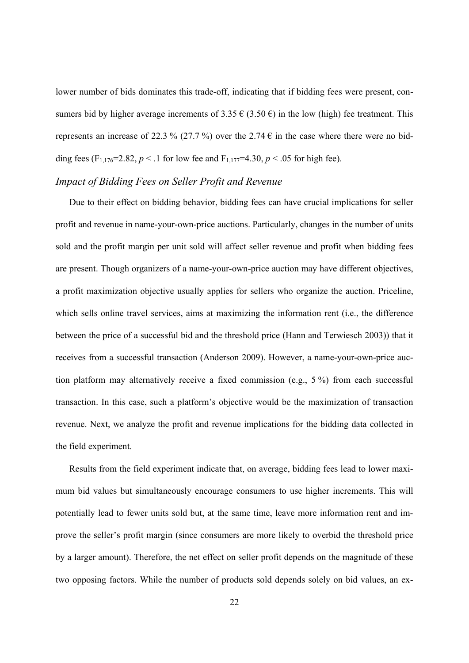lower number of bids dominates this trade-off, indicating that if bidding fees were present, consumers bid by higher average increments of 3.35  $\in$  (3.50  $\epsilon$ ) in the low (high) fee treatment. This represents an increase of 22.3 % (27.7 %) over the 2.74  $\epsilon$  in the case where there were no bidding fees  $(F_{1,176}=2.82, p < .1$  for low fee and  $F_{1,177}=4.30, p < .05$  for high fee).

#### *Impact of Bidding Fees on Seller Profit and Revenue*

Due to their effect on bidding behavior, bidding fees can have crucial implications for seller profit and revenue in name-your-own-price auctions. Particularly, changes in the number of units sold and the profit margin per unit sold will affect seller revenue and profit when bidding fees are present. Though organizers of a name-your-own-price auction may have different objectives, a profit maximization objective usually applies for sellers who organize the auction. Priceline, which sells online travel services, aims at maximizing the information rent (i.e., the difference between the price of a successful bid and the threshold price (Hann and Terwiesch 2003)) that it receives from a successful transaction (Anderson 2009). However, a name-your-own-price auction platform may alternatively receive a fixed commission (e.g., 5 %) from each successful transaction. In this case, such a platform's objective would be the maximization of transaction revenue. Next, we analyze the profit and revenue implications for the bidding data collected in the field experiment.

Results from the field experiment indicate that, on average, bidding fees lead to lower maximum bid values but simultaneously encourage consumers to use higher increments. This will potentially lead to fewer units sold but, at the same time, leave more information rent and improve the seller's profit margin (since consumers are more likely to overbid the threshold price by a larger amount). Therefore, the net effect on seller profit depends on the magnitude of these two opposing factors. While the number of products sold depends solely on bid values, an ex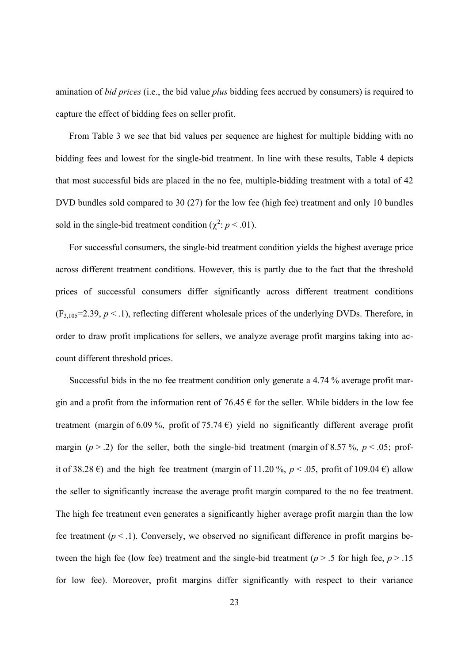amination of *bid prices* (i.e., the bid value *plus* bidding fees accrued by consumers) is required to capture the effect of bidding fees on seller profit.

From Table 3 we see that bid values per sequence are highest for multiple bidding with no bidding fees and lowest for the single-bid treatment. In line with these results, Table 4 depicts that most successful bids are placed in the no fee, multiple-bidding treatment with a total of 42 DVD bundles sold compared to 30 (27) for the low fee (high fee) treatment and only 10 bundles sold in the single-bid treatment condition  $(\chi^2: p < .01)$ .

For successful consumers, the single-bid treatment condition yields the highest average price across different treatment conditions. However, this is partly due to the fact that the threshold prices of successful consumers differ significantly across different treatment conditions  $(F_{3,105}=2.39, p < .1)$ , reflecting different wholesale prices of the underlying DVDs. Therefore, in order to draw profit implications for sellers, we analyze average profit margins taking into account different threshold prices.

Successful bids in the no fee treatment condition only generate a 4.74 % average profit margin and a profit from the information rent of 76.45  $\epsilon$  for the seller. While bidders in the low fee treatment (margin of 6.09 %, profit of 75.74  $\epsilon$ ) yield no significantly different average profit margin ( $p > 0.2$ ) for the seller, both the single-bid treatment (margin of 8.57 %,  $p < 0.05$ ; profit of 38.28  $\epsilon$ ) and the high fee treatment (margin of 11.20 %, *p* < .05, profit of 109.04  $\epsilon$ ) allow the seller to significantly increase the average profit margin compared to the no fee treatment. The high fee treatment even generates a significantly higher average profit margin than the low fee treatment  $(p < 1)$ . Conversely, we observed no significant difference in profit margins between the high fee (low fee) treatment and the single-bid treatment ( $p > 0.5$  for high fee,  $p > 0.15$ for low fee). Moreover, profit margins differ significantly with respect to their variance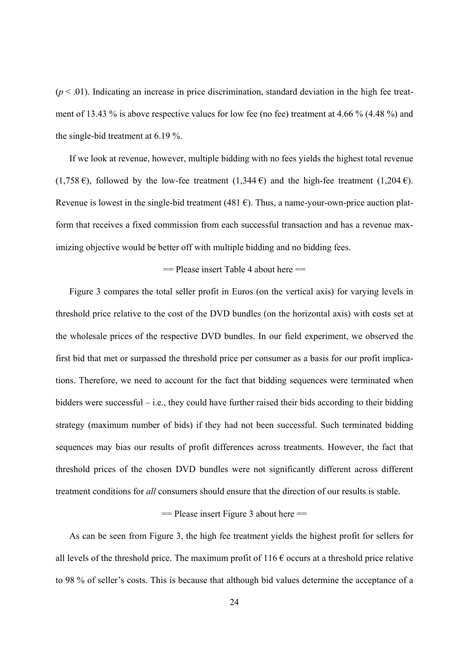$(p < .01)$ . Indicating an increase in price discrimination, standard deviation in the high fee treatment of 13.43 % is above respective values for low fee (no fee) treatment at 4.66 % (4.48 %) and the single-bid treatment at 6.19 %.

If we look at revenue, however, multiple bidding with no fees yields the highest total revenue (1,758 €), followed by the low-fee treatment (1,344 €) and the high-fee treatment (1,204 €). Revenue is lowest in the single-bid treatment (481 $\epsilon$ ). Thus, a name-your-own-price auction platform that receives a fixed commission from each successful transaction and has a revenue maximizing objective would be better off with multiple bidding and no bidding fees.

#### == Please insert Table 4 about here ==

Figure 3 compares the total seller profit in Euros (on the vertical axis) for varying levels in threshold price relative to the cost of the DVD bundles (on the horizontal axis) with costs set at the wholesale prices of the respective DVD bundles. In our field experiment, we observed the first bid that met or surpassed the threshold price per consumer as a basis for our profit implications. Therefore, we need to account for the fact that bidding sequences were terminated when bidders were successful – i.e., they could have further raised their bids according to their bidding strategy (maximum number of bids) if they had not been successful. Such terminated bidding sequences may bias our results of profit differences across treatments. However, the fact that threshold prices of the chosen DVD bundles were not significantly different across different treatment conditions for *all* consumers should ensure that the direction of our results is stable.

#### $=$  Please insert Figure 3 about here  $=$

As can be seen from Figure 3, the high fee treatment yields the highest profit for sellers for all levels of the threshold price. The maximum profit of  $116 \text{ } \epsilon$  occurs at a threshold price relative to 98 % of seller's costs. This is because that although bid values determine the acceptance of a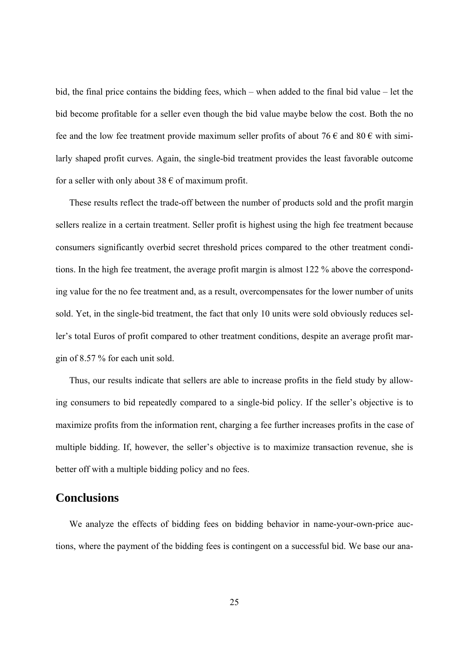bid, the final price contains the bidding fees, which – when added to the final bid value – let the bid become profitable for a seller even though the bid value maybe below the cost. Both the no fee and the low fee treatment provide maximum seller profits of about 76  $\epsilon$  and 80  $\epsilon$  with similarly shaped profit curves. Again, the single-bid treatment provides the least favorable outcome for a seller with only about 38  $\epsilon$  of maximum profit.

These results reflect the trade-off between the number of products sold and the profit margin sellers realize in a certain treatment. Seller profit is highest using the high fee treatment because consumers significantly overbid secret threshold prices compared to the other treatment conditions. In the high fee treatment, the average profit margin is almost 122 % above the corresponding value for the no fee treatment and, as a result, overcompensates for the lower number of units sold. Yet, in the single-bid treatment, the fact that only 10 units were sold obviously reduces seller's total Euros of profit compared to other treatment conditions, despite an average profit margin of 8.57 % for each unit sold.

Thus, our results indicate that sellers are able to increase profits in the field study by allowing consumers to bid repeatedly compared to a single-bid policy. If the seller's objective is to maximize profits from the information rent, charging a fee further increases profits in the case of multiple bidding. If, however, the seller's objective is to maximize transaction revenue, she is better off with a multiple bidding policy and no fees.

## **Conclusions**

We analyze the effects of bidding fees on bidding behavior in name-your-own-price auctions, where the payment of the bidding fees is contingent on a successful bid. We base our ana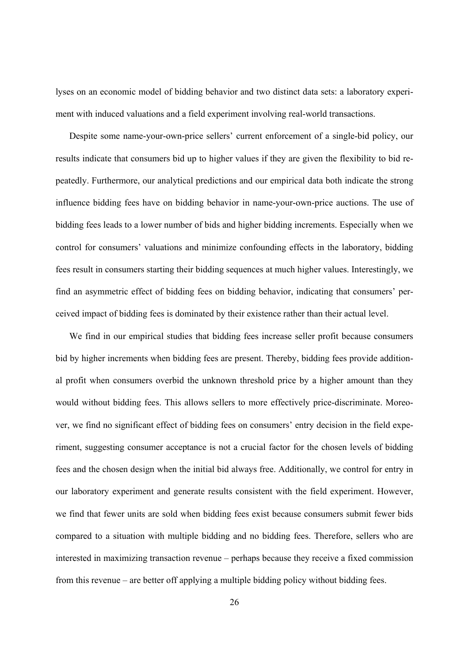lyses on an economic model of bidding behavior and two distinct data sets: a laboratory experiment with induced valuations and a field experiment involving real-world transactions.

Despite some name-your-own-price sellers' current enforcement of a single-bid policy, our results indicate that consumers bid up to higher values if they are given the flexibility to bid repeatedly. Furthermore, our analytical predictions and our empirical data both indicate the strong influence bidding fees have on bidding behavior in name-your-own-price auctions. The use of bidding fees leads to a lower number of bids and higher bidding increments. Especially when we control for consumers' valuations and minimize confounding effects in the laboratory, bidding fees result in consumers starting their bidding sequences at much higher values. Interestingly, we find an asymmetric effect of bidding fees on bidding behavior, indicating that consumers' perceived impact of bidding fees is dominated by their existence rather than their actual level.

We find in our empirical studies that bidding fees increase seller profit because consumers bid by higher increments when bidding fees are present. Thereby, bidding fees provide additional profit when consumers overbid the unknown threshold price by a higher amount than they would without bidding fees. This allows sellers to more effectively price-discriminate. Moreover, we find no significant effect of bidding fees on consumers' entry decision in the field experiment, suggesting consumer acceptance is not a crucial factor for the chosen levels of bidding fees and the chosen design when the initial bid always free. Additionally, we control for entry in our laboratory experiment and generate results consistent with the field experiment. However, we find that fewer units are sold when bidding fees exist because consumers submit fewer bids compared to a situation with multiple bidding and no bidding fees. Therefore, sellers who are interested in maximizing transaction revenue – perhaps because they receive a fixed commission from this revenue – are better off applying a multiple bidding policy without bidding fees.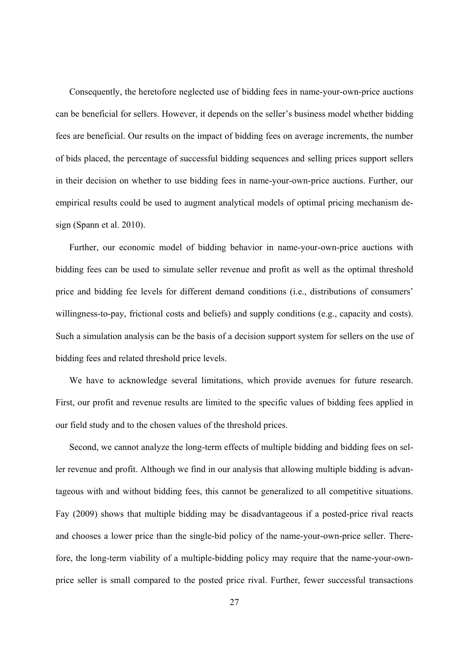Consequently, the heretofore neglected use of bidding fees in name-your-own-price auctions can be beneficial for sellers. However, it depends on the seller's business model whether bidding fees are beneficial. Our results on the impact of bidding fees on average increments, the number of bids placed, the percentage of successful bidding sequences and selling prices support sellers in their decision on whether to use bidding fees in name-your-own-price auctions. Further, our empirical results could be used to augment analytical models of optimal pricing mechanism design (Spann et al. 2010).

Further, our economic model of bidding behavior in name-your-own-price auctions with bidding fees can be used to simulate seller revenue and profit as well as the optimal threshold price and bidding fee levels for different demand conditions (i.e., distributions of consumers' willingness-to-pay, frictional costs and beliefs) and supply conditions (e.g., capacity and costs). Such a simulation analysis can be the basis of a decision support system for sellers on the use of bidding fees and related threshold price levels.

We have to acknowledge several limitations, which provide avenues for future research. First, our profit and revenue results are limited to the specific values of bidding fees applied in our field study and to the chosen values of the threshold prices.

Second, we cannot analyze the long-term effects of multiple bidding and bidding fees on seller revenue and profit. Although we find in our analysis that allowing multiple bidding is advantageous with and without bidding fees, this cannot be generalized to all competitive situations. Fay (2009) shows that multiple bidding may be disadvantageous if a posted-price rival reacts and chooses a lower price than the single-bid policy of the name-your-own-price seller. Therefore, the long-term viability of a multiple-bidding policy may require that the name-your-ownprice seller is small compared to the posted price rival. Further, fewer successful transactions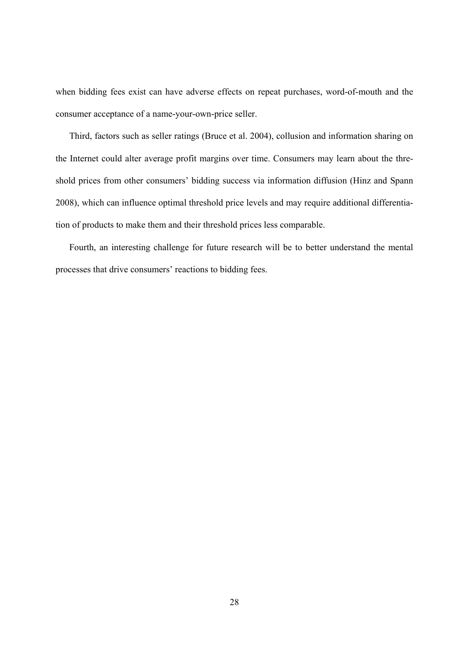when bidding fees exist can have adverse effects on repeat purchases, word-of-mouth and the consumer acceptance of a name-your-own-price seller.

Third, factors such as seller ratings (Bruce et al. 2004), collusion and information sharing on the Internet could alter average profit margins over time. Consumers may learn about the threshold prices from other consumers' bidding success via information diffusion (Hinz and Spann 2008), which can influence optimal threshold price levels and may require additional differentiation of products to make them and their threshold prices less comparable.

Fourth, an interesting challenge for future research will be to better understand the mental processes that drive consumers' reactions to bidding fees.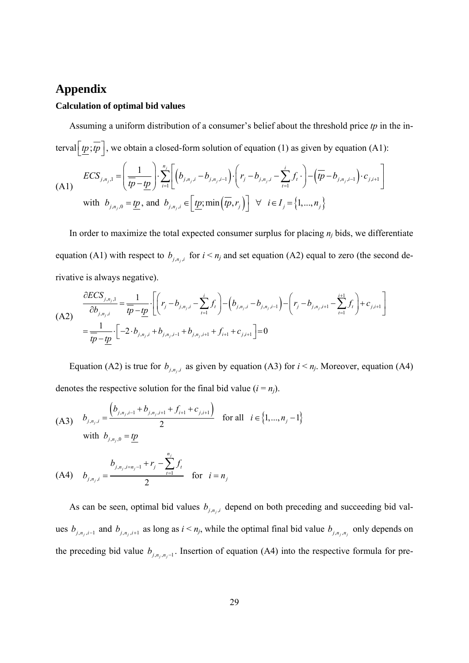## **Appendix**

#### **Calculation of optimal bid values**

Assuming a uniform distribution of a consumer's belief about the threshold price *tp* in the interval  $\left[\underline{tp}; \overline{tp}\right]$ , we obtain a closed-form solution of equation (1) as given by equation (A1):

(A1) 
$$
ECS_{j,n_j,1} = \left(\frac{1}{tp - tp}\right) \cdot \sum_{i=1}^{n_j} \left[ \left(b_{j,n_j,i} - b_{j,n_j,i-1}\right) \cdot \left(r_j - b_{j,n_j,i} - \sum_{t=1}^i f_t \cdot \right) - \left(\overline{tp} - b_{j,n_j,i-1}\right) \cdot c_{j,i+1} \right]
$$
  
with  $b_{j,n_j,0} = \underline{tp}$ , and  $b_{j,n_j,i} \in \left[\underline{tp}; \min\left(\overline{tp}, r_j\right)\right] \ \forall \ i \in I_j = \{1, ..., n_j\}$ 

In order to maximize the total expected consumer surplus for placing *nj* bids, we differentiate equation (A1) with respect to  $b_{j,n_i,i}$  for  $i \le n_j$  and set equation (A2) equal to zero (the second derivative is always negative).

(A2) 
$$
\frac{\partial ECS_{j,n_j,1}}{\partial b_{j,n_j,i}} = \frac{1}{tp - tp} \cdot \left[ \left( r_j - b_{j,n_j,i} - \sum_{t=1}^i f_t \right) - \left( b_{j,n_j,i} - b_{j,n_j,i-1} \right) - \left( r_j - b_{j,n_j,i+1} - \sum_{t=1}^{i+1} f_t \right) + c_{j,i+1} \right]
$$

$$
= \frac{1}{tp - tp} \cdot \left[ -2 \cdot b_{j,n_j,i} + b_{j,n_j,i-1} + b_{j,n_j,i+1} + f_{i+1} + c_{j,i+1} \right] = 0
$$

Equation (A2) is true for  $b_{j,n_j,i}$  as given by equation (A3) for  $i < n_j$ . Moreover, equation (A4) denotes the respective solution for the final bid value  $(i = n<sub>j</sub>)$ .

(A3) 
$$
b_{j,n_j,i} = \frac{(b_{j,n_j,i-1} + b_{j,n_j,i+1} + f_{i+1} + c_{j,i+1})}{2} \text{ for all } i \in \{1,...,n_j-1\}
$$
  
with  $b_{j,n_j,0} = \underline{tp}$ 

(A4) 
$$
b_{j,n_j,i} = \frac{b_{j,n_j,i=n_j-1} + r_j - \sum_{t=1}^{n_j} f_t}{2}
$$
 for  $i = n_j$ 

As can be seen, optimal bid values  $b_{j,n_j,i}$  depend on both preceding and succeeding bid values  $b_{j,n_i,i-1}$  and  $b_{j,n_i,i+1}$  as long as  $i < n_j$ , while the optimal final bid value  $b_{j,n_i,n_j}$  only depends on the preceding bid value  $b_{j,n_j,n_j-1}$ . Insertion of equation (A4) into the respective formula for pre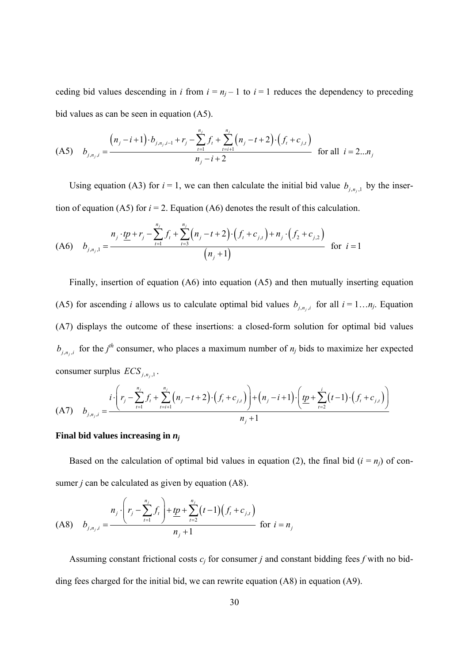ceding bid values descending in *i* from  $i = n<sub>i</sub> - 1$  to  $i = 1$  reduces the dependency to preceding bid values as can be seen in equation (A5).

$$
\text{(A5)} \quad b_{j,n_j,i} = \frac{\left(n_j - i + 1\right) \cdot b_{j,n_j,i-1} + r_j - \sum_{t=1}^{n_j} f_t + \sum_{t=i+1}^{n_j} \left(n_j - t + 2\right) \cdot \left(f_t + c_{j,t}\right)}{n_j - i + 2} \quad \text{for all} \quad i = 2...n_j
$$

Using equation (A3) for  $i = 1$ , we can then calculate the initial bid value  $b_{j,n_j,1}$  by the insertion of equation (A5) for  $i = 2$ . Equation (A6) denotes the result of this calculation.

$$
\text{(A6)} \quad b_{j,n_j,1} = \frac{n_j \cdot \underline{tp} + r_j - \sum_{t=1}^{n_j} f_t + \sum_{t=3}^{n_j} \left(n_j - t + 2\right) \cdot \left(f_t + c_{j,t}\right) + n_j \cdot \left(f_2 + c_{j,2}\right)}{\left(n_j + 1\right)} \quad \text{for } i = 1
$$

Finally, insertion of equation (A6) into equation (A5) and then mutually inserting equation (A5) for ascending *i* allows us to calculate optimal bid values  $b_{j,n_i,i}$  for all  $i = 1...n_j$ . Equation (A7) displays the outcome of these insertions: a closed-form solution for optimal bid values  $b_{j,n_i,i}$  for the  $j^{th}$  consumer, who places a maximum number of  $n_j$  bids to maximize her expected consumer surplus  $\text{ECS}_{i,n_i,1}$ .

(A7) 
$$
b_{j,n_j,i} = \frac{i \cdot \left(r_j - \sum_{t=1}^{n_j} f_t + \sum_{t=i+1}^{n_j} \left(n_j - t + 2\right) \cdot \left(f_t + c_{j,t}\right)\right) + \left(n_j - i + 1\right) \cdot \left(\underbrace{tp + \sum_{t=2}^{i} \left(t-1\right) \cdot \left(f_t + c_{j,t}\right)}_{n_j + 1}\right)}_{n_j + 1}
$$

#### **Final bid values increasing in** *nj*

Based on the calculation of optimal bid values in equation (2), the final bid  $(i = n<sub>i</sub>)$  of consumer *j* can be calculated as given by equation (A8).

$$
\text{(A8)} \quad b_{j,n_j,i} = \frac{n_j \cdot \left(r_j - \sum_{t=1}^{n_j} f_t\right) + \underbrace{tp}_{t=2} + \sum_{t=2}^{n_j} (t-1) \left(f_t + c_{j,t}\right)}{n_j + 1} \quad \text{for } i = n_j
$$

Assuming constant frictional costs  $c_j$  for consumer *j* and constant bidding fees *f* with no bidding fees charged for the initial bid, we can rewrite equation (A8) in equation (A9).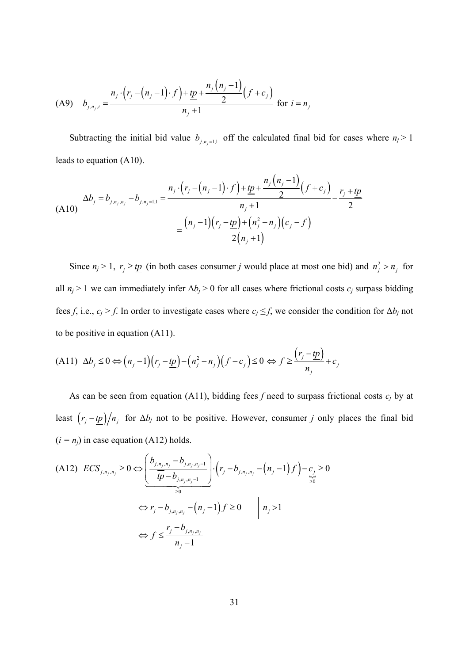(A9) 
$$
b_{j,n_j,i} = \frac{n_j \cdot (r_j - (n_j - 1) \cdot f) + \underline{tp} + \frac{n_j (n_j - 1)}{2} (f + c_j)}{n_j + 1} \text{ for } i = n_j
$$

Subtracting the initial bid value  $b_{j,n_j=1,1}$  off the calculated final bid for cases where  $n_j > 1$ leads to equation (A10).

$$
(A10) \quad \Delta b_j = b_{j,n_j,n_j} - b_{j,n_j=1,1} = \frac{n_j \cdot (r_j - (n_j - 1) \cdot f) + \underline{tp} + \frac{n_j (n_j - 1)}{2} (f + c_j)}{n_j + 1} - \frac{r_j + \underline{tp}}{2}
$$
\n
$$
= \frac{(n_j - 1)(r_j - \underline{tp}) + (n_j^2 - n_j)(c_j - f)}{2(n_j + 1)}
$$

Since  $n_j > 1$ ,  $r_j \ge tp$  (in both cases consumer *j* would place at most one bid) and  $n_j^2 > n_j$  for all  $n_j$  > 1 we can immediately infer  $\Delta b_j$  > 0 for all cases where frictional costs  $c_j$  surpass bidding fees *f*, i.e.,  $c_j > f$ . In order to investigate cases where  $c_j \leq f$ , we consider the condition for  $\Delta b_j$  not to be positive in equation (A11).

$$
(A11)\ \Delta b_j \leq 0 \Leftrightarrow (n_j - 1)(r_j - \underline{tp}) - (n_j^2 - n_j)(f - c_j) \leq 0 \Leftrightarrow f \geq \frac{(r_j - \underline{tp})}{n_j} + c_j
$$

As can be seen from equation (A11), bidding fees *f* need to surpass frictional costs *cj* by at least  $(r_j - tp)/n_j$  for  $\Delta b_j$  not to be positive. However, consumer *j* only places the final bid  $(i = n<sub>i</sub>)$  in case equation (A12) holds.

(A12) 
$$
ECS_{j,n_j,n_j} \ge 0 \Leftrightarrow \left(\frac{b_{j,n_j,n_j} - b_{j,n_j,n_j-1}}{\overline{tp} - b_{j,n_j,n_j-1}}\right) \cdot \left(r_j - b_{j,n_j,n_j} - \left(n_j - 1\right)f\right) - \underbrace{c_j}_{\ge 0} \ge 0
$$
\n
$$
\Leftrightarrow r_j - b_{j,n_j,n_j} - \left(n_j - 1\right)f \ge 0 \qquad \mid n_j > 1
$$
\n
$$
\Leftrightarrow f \le \frac{r_j - b_{j,n_j,n_j}}{n_j - 1}
$$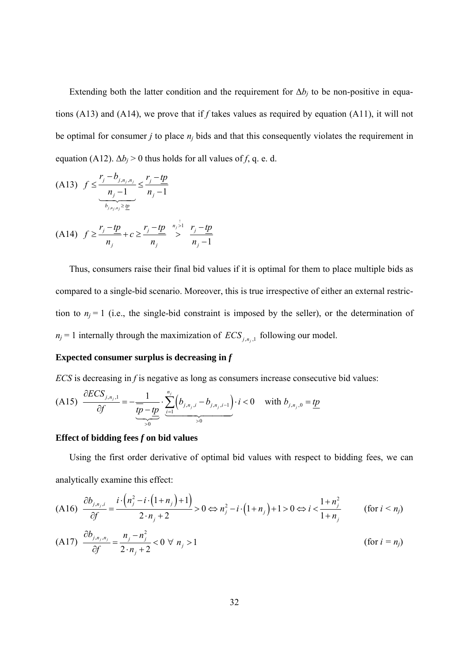Extending both the latter condition and the requirement for  $\Delta b_i$  to be non-positive in equations (A13) and (A14), we prove that if *f* takes values as required by equation (A11), it will not be optimal for consumer  $j$  to place  $n_j$  bids and that this consequently violates the requirement in equation (A12).  $\Delta b_i > 0$  thus holds for all values of *f*, q. e. d.

(A13) 
$$
f \leq \frac{r_j - b_{j, n_j, n_j}}{\frac{n_j - 1}{b_{j, n_j, n_j} \geq \frac{n}{2}}} \leq \frac{r_j - \underline{tp}}{n_j - 1}
$$
  
(A14) 
$$
f \geq \frac{r_j - \underline{tp}}{n_j} + c \geq \frac{r_j - \underline{tp}}{n_j} \geq \frac{r_j - \underline{tp}}{n_j - 1}
$$

Thus, consumers raise their final bid values if it is optimal for them to place multiple bids as compared to a single-bid scenario. Moreover, this is true irrespective of either an external restriction to  $n_j = 1$  (i.e., the single-bid constraint is imposed by the seller), or the determination of  $n_j = 1$  internally through the maximization of  $ECS_{j,n_j,1}$  following our model.

#### **Expected consumer surplus is decreasing in** *f*

*ECS* is decreasing in *f* is negative as long as consumers increase consecutive bid values:

$$
(A15) \frac{\partial ECS_{j,n_j,1}}{\partial f} = -\underbrace{\frac{1}{tp - tp}}_{>0} \cdot \underbrace{\sum_{i=1}^{n_j} \left(b_{j,n_j,i} - b_{j,n_j,i-1}\right)}_{>0} \cdot i < 0 \quad \text{with } b_{j,n_j,0} = \underbrace{tp}_{\text{max}}.
$$

#### **Effect of bidding fees** *f* **on bid values**

Using the first order derivative of optimal bid values with respect to bidding fees, we can analytically examine this effect:

$$
(A16) \frac{\partial b_{j,n_j,i}}{\partial f} = \frac{i \cdot (n_j^2 - i \cdot (1 + n_j) + 1)}{2 \cdot n_j + 2} > 0 \Leftrightarrow n_j^2 - i \cdot (1 + n_j) + 1 > 0 \Leftrightarrow i < \frac{1 + n_j^2}{1 + n_j}
$$
 (for  $i < n_j$ )

$$
(A17) \frac{\partial b_{j,n_j,n_j}}{\partial f} = \frac{n_j - n_j^2}{2 \cdot n_j + 2} < 0 \ \forall \ n_j > 1 \tag{for } i = n_j
$$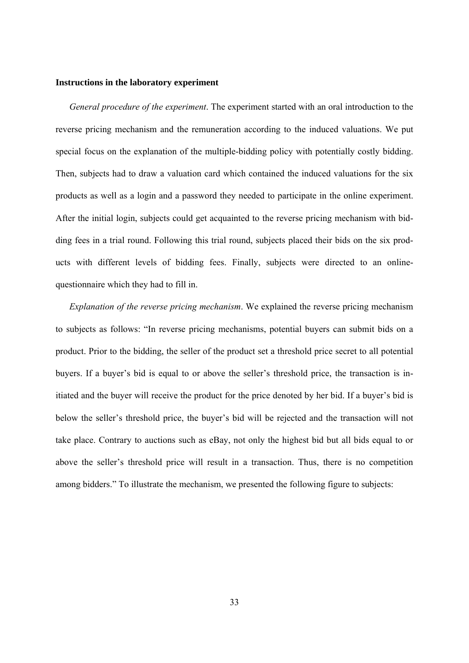#### **Instructions in the laboratory experiment**

*General procedure of the experiment*. The experiment started with an oral introduction to the reverse pricing mechanism and the remuneration according to the induced valuations. We put special focus on the explanation of the multiple-bidding policy with potentially costly bidding. Then, subjects had to draw a valuation card which contained the induced valuations for the six products as well as a login and a password they needed to participate in the online experiment. After the initial login, subjects could get acquainted to the reverse pricing mechanism with bidding fees in a trial round. Following this trial round, subjects placed their bids on the six products with different levels of bidding fees. Finally, subjects were directed to an onlinequestionnaire which they had to fill in.

*Explanation of the reverse pricing mechanism*. We explained the reverse pricing mechanism to subjects as follows: "In reverse pricing mechanisms, potential buyers can submit bids on a product. Prior to the bidding, the seller of the product set a threshold price secret to all potential buyers. If a buyer's bid is equal to or above the seller's threshold price, the transaction is initiated and the buyer will receive the product for the price denoted by her bid. If a buyer's bid is below the seller's threshold price, the buyer's bid will be rejected and the transaction will not take place. Contrary to auctions such as eBay, not only the highest bid but all bids equal to or above the seller's threshold price will result in a transaction. Thus, there is no competition among bidders." To illustrate the mechanism, we presented the following figure to subjects: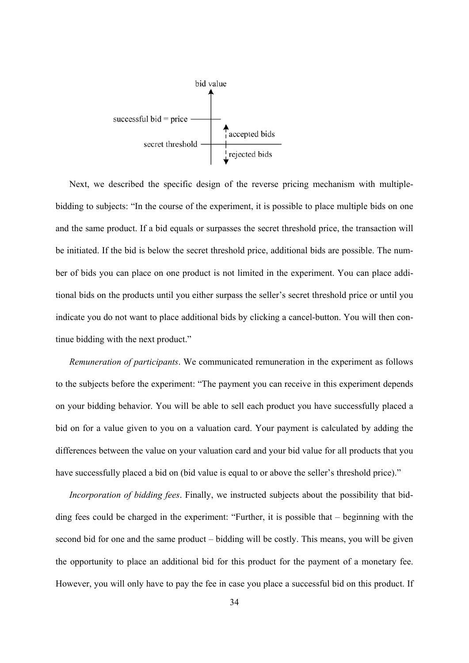

Next, we described the specific design of the reverse pricing mechanism with multiplebidding to subjects: "In the course of the experiment, it is possible to place multiple bids on one and the same product. If a bid equals or surpasses the secret threshold price, the transaction will be initiated. If the bid is below the secret threshold price, additional bids are possible. The number of bids you can place on one product is not limited in the experiment. You can place additional bids on the products until you either surpass the seller's secret threshold price or until you indicate you do not want to place additional bids by clicking a cancel-button. You will then continue bidding with the next product."

*Remuneration of participants*. We communicated remuneration in the experiment as follows to the subjects before the experiment: "The payment you can receive in this experiment depends on your bidding behavior. You will be able to sell each product you have successfully placed a bid on for a value given to you on a valuation card. Your payment is calculated by adding the differences between the value on your valuation card and your bid value for all products that you have successfully placed a bid on (bid value is equal to or above the seller's threshold price)."

*Incorporation of bidding fees*. Finally, we instructed subjects about the possibility that bidding fees could be charged in the experiment: "Further, it is possible that – beginning with the second bid for one and the same product – bidding will be costly. This means, you will be given the opportunity to place an additional bid for this product for the payment of a monetary fee. However, you will only have to pay the fee in case you place a successful bid on this product. If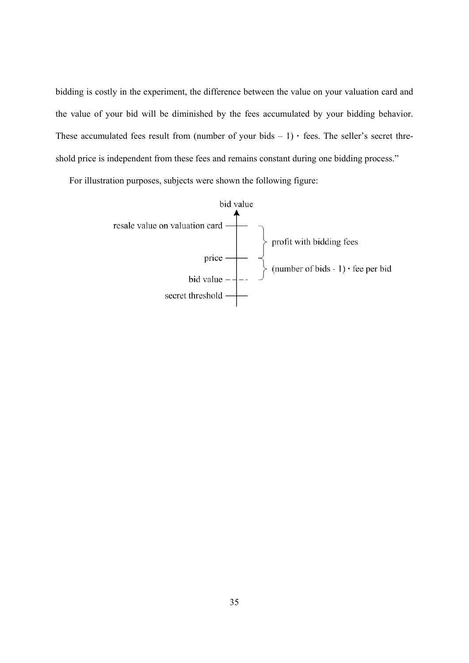bidding is costly in the experiment, the difference between the value on your valuation card and the value of your bid will be diminished by the fees accumulated by your bidding behavior. These accumulated fees result from (number of your bids  $-1$ )  $\cdot$  fees. The seller's secret threshold price is independent from these fees and remains constant during one bidding process."

For illustration purposes, subjects were shown the following figure:

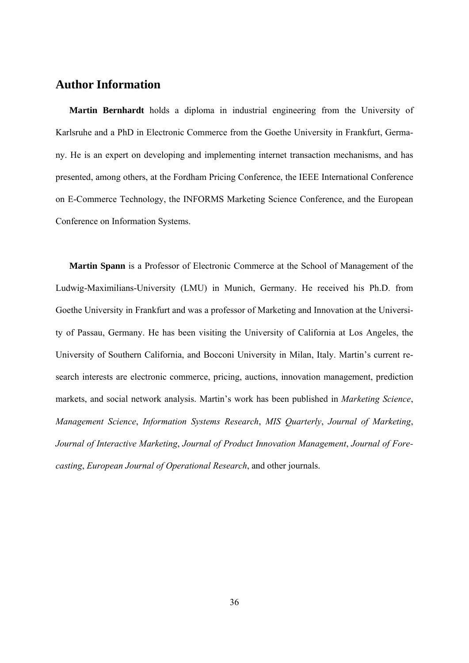### **Author Information**

**Martin Bernhardt** holds a diploma in industrial engineering from the University of Karlsruhe and a PhD in Electronic Commerce from the Goethe University in Frankfurt, Germany. He is an expert on developing and implementing internet transaction mechanisms, and has presented, among others, at the Fordham Pricing Conference, the IEEE International Conference on E-Commerce Technology, the INFORMS Marketing Science Conference, and the European Conference on Information Systems.

**Martin Spann** is a Professor of Electronic Commerce at the School of Management of the Ludwig-Maximilians-University (LMU) in Munich, Germany. He received his Ph.D. from Goethe University in Frankfurt and was a professor of Marketing and Innovation at the University of Passau, Germany. He has been visiting the University of California at Los Angeles, the University of Southern California, and Bocconi University in Milan, Italy. Martin's current research interests are electronic commerce, pricing, auctions, innovation management, prediction markets, and social network analysis. Martin's work has been published in *Marketing Science*, *Management Science*, *Information Systems Research*, *MIS Quarterly*, *Journal of Marketing*, *Journal of Interactive Marketing*, *Journal of Product Innovation Management*, *Journal of Forecasting*, *European Journal of Operational Research*, and other journals.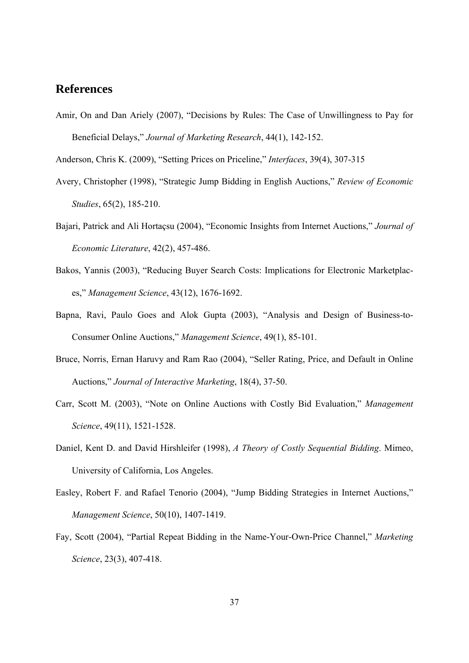## **References**

Amir, On and Dan Ariely (2007), "Decisions by Rules: The Case of Unwillingness to Pay for Beneficial Delays," *Journal of Marketing Research*, 44(1), 142-152.

Anderson, Chris K. (2009), "Setting Prices on Priceline," *Interfaces*, 39(4), 307-315

- Avery, Christopher (1998), "Strategic Jump Bidding in English Auctions," *Review of Economic Studies*, 65(2), 185-210.
- Bajari, Patrick and Ali Hortaçsu (2004), "Economic Insights from Internet Auctions," *Journal of Economic Literature*, 42(2), 457-486.
- Bakos, Yannis (2003), "Reducing Buyer Search Costs: Implications for Electronic Marketplaces," *Management Science*, 43(12), 1676-1692.
- Bapna, Ravi, Paulo Goes and Alok Gupta (2003), "Analysis and Design of Business-to-Consumer Online Auctions," *Management Science*, 49(1), 85-101.
- Bruce, Norris, Ernan Haruvy and Ram Rao (2004), "Seller Rating, Price, and Default in Online Auctions," *Journal of Interactive Marketing*, 18(4), 37-50.
- Carr, Scott M. (2003), "Note on Online Auctions with Costly Bid Evaluation," *Management Science*, 49(11), 1521-1528.
- Daniel, Kent D. and David Hirshleifer (1998), *A Theory of Costly Sequential Bidding*. Mimeo, University of California, Los Angeles.
- Easley, Robert F. and Rafael Tenorio (2004), "Jump Bidding Strategies in Internet Auctions," *Management Science*, 50(10), 1407-1419.
- Fay, Scott (2004), "Partial Repeat Bidding in the Name-Your-Own-Price Channel," *Marketing Science*, 23(3), 407-418.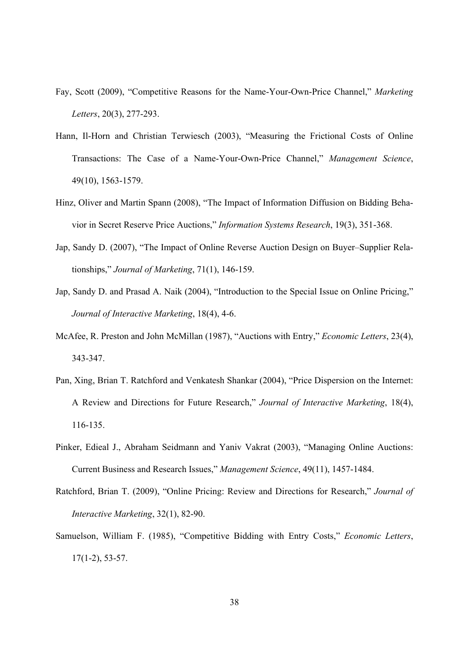- Fay, Scott (2009), "Competitive Reasons for the Name-Your-Own-Price Channel," *Marketing Letters*, 20(3), 277-293.
- Hann, Il-Horn and Christian Terwiesch (2003), "Measuring the Frictional Costs of Online Transactions: The Case of a Name-Your-Own-Price Channel," *Management Science*, 49(10), 1563-1579.
- Hinz, Oliver and Martin Spann (2008), "The Impact of Information Diffusion on Bidding Behavior in Secret Reserve Price Auctions," *Information Systems Research*, 19(3), 351-368.
- Jap, Sandy D. (2007), "The Impact of Online Reverse Auction Design on Buyer–Supplier Relationships," *Journal of Marketing*, 71(1), 146-159.
- Jap, Sandy D. and Prasad A. Naik (2004), "Introduction to the Special Issue on Online Pricing," *Journal of Interactive Marketing*, 18(4), 4-6.
- McAfee, R. Preston and John McMillan (1987), "Auctions with Entry," *Economic Letters*, 23(4), 343-347.
- Pan, Xing, Brian T. Ratchford and Venkatesh Shankar (2004), "Price Dispersion on the Internet: A Review and Directions for Future Research," *Journal of Interactive Marketing*, 18(4), 116-135.
- Pinker, Edieal J., Abraham Seidmann and Yaniv Vakrat (2003), "Managing Online Auctions: Current Business and Research Issues," *Management Science*, 49(11), 1457-1484.
- Ratchford, Brian T. (2009), "Online Pricing: Review and Directions for Research," *Journal of Interactive Marketing*, 32(1), 82-90.
- Samuelson, William F. (1985), "Competitive Bidding with Entry Costs," *Economic Letters*, 17(1-2), 53-57.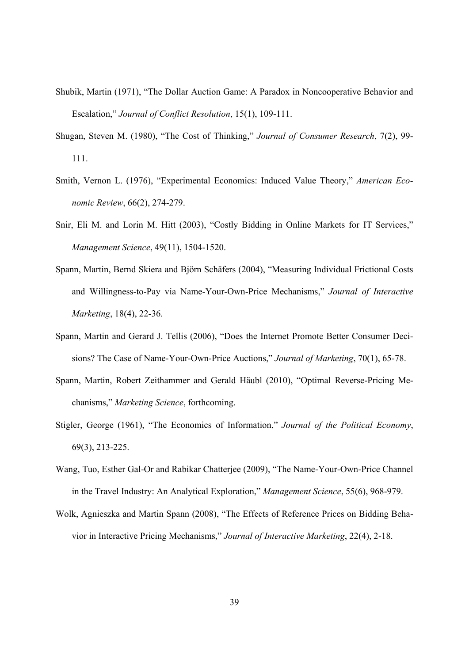- Shubik, Martin (1971), "The Dollar Auction Game: A Paradox in Noncooperative Behavior and Escalation," *Journal of Conflict Resolution*, 15(1), 109-111.
- Shugan, Steven M. (1980), "The Cost of Thinking," *Journal of Consumer Research*, 7(2), 99- 111.
- Smith, Vernon L. (1976), "Experimental Economics: Induced Value Theory," *American Economic Review*, 66(2), 274-279.
- Snir, Eli M. and Lorin M. Hitt (2003), "Costly Bidding in Online Markets for IT Services," *Management Science*, 49(11), 1504-1520.
- Spann, Martin, Bernd Skiera and Björn Schäfers (2004), "Measuring Individual Frictional Costs and Willingness-to-Pay via Name-Your-Own-Price Mechanisms," *Journal of Interactive Marketing*, 18(4), 22-36.
- Spann, Martin and Gerard J. Tellis (2006), "Does the Internet Promote Better Consumer Decisions? The Case of Name-Your-Own-Price Auctions," *Journal of Marketing*, 70(1), 65-78.
- Spann, Martin, Robert Zeithammer and Gerald Häubl (2010), "Optimal Reverse-Pricing Mechanisms," *Marketing Science*, forthcoming.
- Stigler, George (1961), "The Economics of Information," *Journal of the Political Economy*, 69(3), 213-225.
- Wang, Tuo, Esther Gal-Or and Rabikar Chatterjee (2009), "The Name-Your-Own-Price Channel in the Travel Industry: An Analytical Exploration," *Management Science*, 55(6), 968-979.
- Wolk, Agnieszka and Martin Spann (2008), "The Effects of Reference Prices on Bidding Behavior in Interactive Pricing Mechanisms," *Journal of Interactive Marketing*, 22(4), 2-18.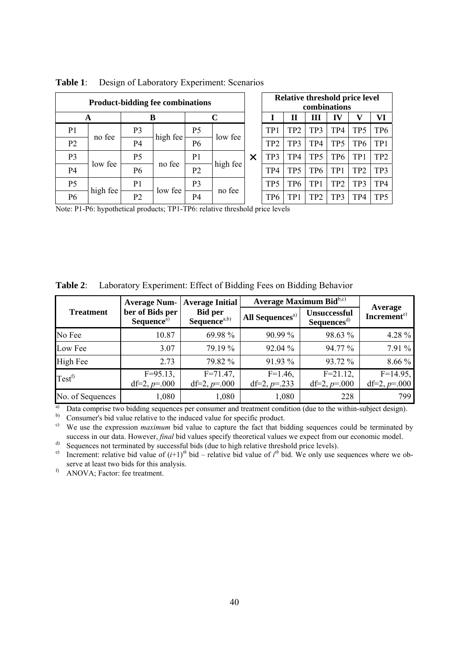| <b>Product-bidding fee combinations</b> |          |                |          |                |          | Relative threshold price level<br>combinations |     |                 |                 |                 |                 |                 |
|-----------------------------------------|----------|----------------|----------|----------------|----------|------------------------------------------------|-----|-----------------|-----------------|-----------------|-----------------|-----------------|
| A                                       |          | B              |          | C              |          |                                                | Н   | Ш               | П               | v               | VI              |                 |
| P <sub>1</sub>                          |          | P <sub>3</sub> |          | P <sub>5</sub> |          | TP <sub>1</sub>                                | TP2 | TP3             | TP4             | TP5             | TP <sub>6</sub> |                 |
| P <sub>2</sub>                          | no fee   | P4             | high fee | P6             | low fee  | TP <sub>2</sub>                                | TP3 | TP4             | TP5             | TP6             | TP <sub>1</sub> |                 |
| P <sub>3</sub>                          | low fee  | P <sub>5</sub> |          | P <sub>1</sub> | high fee | $\times$                                       | TP3 | TP4             | TP <sub>5</sub> | TP <sub>6</sub> | TP1             | TP <sub>2</sub> |
| P <sub>4</sub>                          |          | P6             | no fee   | P2             |          | TP4                                            | TP5 | TP6             | TP              | TP <sub>2</sub> | TP3             |                 |
| P <sub>5</sub>                          | high fee | P <sub>1</sub> | low fee  | P3             | no fee   |                                                | TP5 | TP6             | TP <sub>1</sub> | TP <sub>2</sub> | TP3             | TP4             |
| P <sub>6</sub>                          |          | P <sub>2</sub> |          | P4             |          | TP6                                            | TP  | TP <sub>2</sub> | TP3             | TP4             | TP <sub>5</sub> |                 |

**Table 1**: Design of Laboratory Experiment: Scenarios

Note: P1-P6: hypothetical products; TP1-TP6: relative threshold price levels

| Table $2$ :<br>Laboratory Experiment: Effect of Bidding Fees on Bidding Behavior |                                           |                                    |                                                  |                                               |                                    |  |  |  |  |
|----------------------------------------------------------------------------------|-------------------------------------------|------------------------------------|--------------------------------------------------|-----------------------------------------------|------------------------------------|--|--|--|--|
|                                                                                  | <b>Average Num-</b>                       | <b>Average Initial</b>             | Average Maximum $\text{Bid}^{\text{b},\text{c}}$ |                                               |                                    |  |  |  |  |
| <b>Treatment</b>                                                                 | ber of Bids per<br>Sequence <sup>a)</sup> | <b>Bid per</b><br>Sequence $a, b)$ | All Sequences <sup>a)</sup>                      | <b>Unsuccessful</b><br>Sequences <sup>d</sup> | Average<br>Increment <sup>e)</sup> |  |  |  |  |
| No Fee                                                                           | 10.87                                     | 69.98%                             | 90.99 %                                          | 98.63 %                                       | 4.28 %                             |  |  |  |  |
| Low Fee                                                                          | 3.07                                      | 79.19 %                            | 92.04 %                                          | 94.77 %                                       | 7.91 %                             |  |  |  |  |
| High Fee                                                                         | 2.73                                      | 79.82 %                            | 91.93 %                                          | 93.72 %                                       | 8.66 %                             |  |  |  |  |
| $Test^f$                                                                         | $F=95.13$ ,<br>df=2, $p=000$              | $F = 71.47$ ,<br>df=2, $p=000$     | $F=1.46$ ,<br>df=2, $p=233$                      | $F = 21.12$ ,<br>df=2, $p=000$                | $F=14.95$ ,<br>df=2, $p=000$       |  |  |  |  |

**Table 2**: Laboratory Experiment: Effect of Bidding Fees on Bidding Behavior

No. of Sequences 1,080 1,080 1,080 1,080 228 799 <sup>a)</sup> Data comprise two bidding sequences per consumer and treatment condition (due to the within-subject design).

b) Consumer's bid value relative to the induced value for specific product.

<sup>c)</sup> We use the expression *maximum* bid value to capture the fact that bidding sequences could be terminated by success in our data. However, *final* bid values specify theoretical values we expect from our economic model.

<sup>d)</sup> Sequences not terminated by successful bids (due to high relative threshold price levels).<br><sup>e)</sup> Increment: relative bid value of  $(i+1)^{th}$  bid – relative bid value of  $i^{th}$  bid. We only use s

<sup>e)</sup> Increment: relative bid value of  $(i+1)^{th}$  bid – relative bid value of  $i^{th}$  bid. We only use sequences where we observe at least two bids for this analysis.

f) ANOVA; Factor: fee treatment.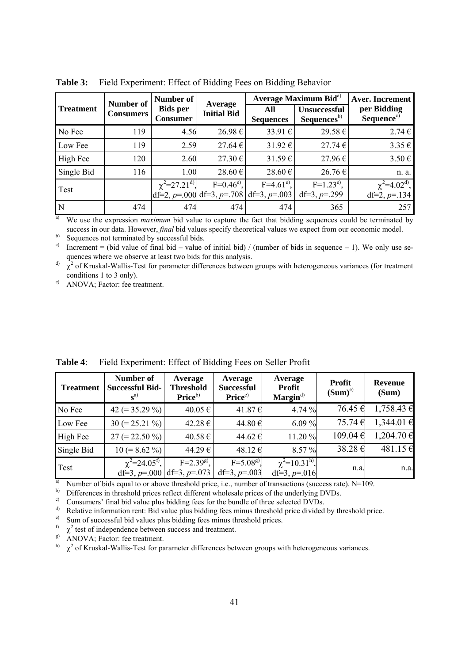|                  | <b>Number of</b> | Number of                                   |                               | Average Maximum Bid <sup>a)</sup>                           | <b>Aver.</b> Increment                         |                                       |
|------------------|------------------|---------------------------------------------|-------------------------------|-------------------------------------------------------------|------------------------------------------------|---------------------------------------|
| <b>Treatment</b> | <b>Consumers</b> | <b>Bids per</b><br><b>Consumer</b>          | Average<br><b>Initial Bid</b> | All<br><b>Sequences</b>                                     | <b>Unsuccessful</b><br>Sequences <sup>b)</sup> | per Bidding<br>Sequence <sup>c)</sup> |
| No Fee           | 119              | 4.56                                        | 26.98€                        | 33.91€                                                      | 29.58€                                         | $2.74 \in$                            |
| Low Fee          | 119              | 2.59                                        | $27.64 \in$                   | 31.92 $\varepsilon$                                         | 27.74€                                         | $3.35 \in$                            |
| High Fee         | 120              | 2.60                                        | $27.30 \in$                   | $31.59 \in$                                                 | 27.96€                                         | $3.50 \in$                            |
| Single Bid       | 116              | 1.00                                        | 28.60€                        | 28.60€                                                      | 26.76€                                         | n. a.                                 |
| Test             |                  | $\chi^2$ =27.21 <sup>d</sup> <sup>)</sup> , | $F=0.46^{\circ}$ ,            | $F=4.61^{e}$ ,<br>$df=2$ , p=.000 df=3, p=.708 df=3, p=.003 | $F=1.23^{e}$ ,<br>df=3, $p=299$                | $\chi^2=4.02^{d}$ ,<br>df=2, p=.134   |
| N                | 474              | 474                                         | 474                           | 474                                                         | 365                                            | 257                                   |

**Table 3:** Field Experiment: Effect of Bidding Fees on Bidding Behavior

<sup>a)</sup> We use the expression *maximum* bid value to capture the fact that bidding sequences could be terminated by success in our data. However, *final* bid values specify theoretical values we expect from our economic model.

b) Sequences not terminated by successful bids.

<sup>c)</sup> Increment = (bid value of final bid – value of initial bid) / (number of bids in sequence – 1). We only use sequences where we observe at least two bids for this analysis.

 $\alpha^0$   $\chi^2$  of Kruskal-Wallis-Test for parameter differences between groups with heterogeneous variances (for treatment conditions 1 to 3 only).

e) ANOVA; Factor: fee treatment.

| <b>Treatment</b> | Number of<br><b>Successful Bid-</b><br>$\mathbf{s}^{()}$ | Average<br><b>Threshold</b><br>Price <sup>b)</sup> | Average<br><b>Successful</b><br>Price <sup>c</sup> | Average<br><b>Profit</b><br>$\mathbf{Margin}^{\text{d}}$ | <b>Profit</b><br>$(Sum)^e$ | <b>Revenue</b><br>(Sum) |
|------------------|----------------------------------------------------------|----------------------------------------------------|----------------------------------------------------|----------------------------------------------------------|----------------------------|-------------------------|
| No Fee           | 42 (= $35.29\%$ )                                        | 40.05 €                                            | 41.87€                                             | 4.74 %                                                   | 76.45€                     | $1,758.43 \in$          |
| Low Fee          | $30 (= 25.21 \%)$                                        | 42.28 €                                            | 44.80€                                             | 6.09 $%$                                                 | 75.74€                     | $1,344.01 \in$          |
| High Fee         | $27 (= 22.50\%)$                                         | 40.58 €                                            | 44.62 €                                            | 11.20 %                                                  | 109.04 €                   | $1,204.70 \in$          |
| Single Bid       | $10 (= 8.62\% )$                                         | 44.29€                                             | 48.12€                                             | 8.57 %                                                   | 38.28€                     | 481.15 €                |
| Test             | $\chi^2 = 24.05^{\rm f}$                                 | $F=2.39^{g}$ .<br>df=3, $p=0.000$ df=3, $p=.073$   | $F=5.08^{g}$ .<br>df=3, $p=0.003$                  | $\chi^2 = 10.31^{\rm h}$<br>df=3, $p=016$                | n.a.                       | n.a.                    |

**Table 4**: Field Experiment: Effect of Bidding Fees on Seller Profit

<sup>a)</sup> Number of bids equal to or above threshold price, i.e., number of transactions (success rate). N=109.

b) Differences in threshold prices reflect different wholesale prices of the underlying DVDs.

c) Consumers' final bid value plus bidding fees for the bundle of three selected DVDs.

d) Relative information rent: Bid value plus bidding fees minus threshold price divided by threshold price.

e) Sum of successful bid values plus bidding fees minus threshold prices.

 $\chi^2$  test of independence between success and treatment.

g) ANOVA; Factor: fee treatment.

 $\mu$ <sup>b</sup>  $\chi^2$  of Kruskal-Wallis-Test for parameter differences between groups with heterogeneous variances.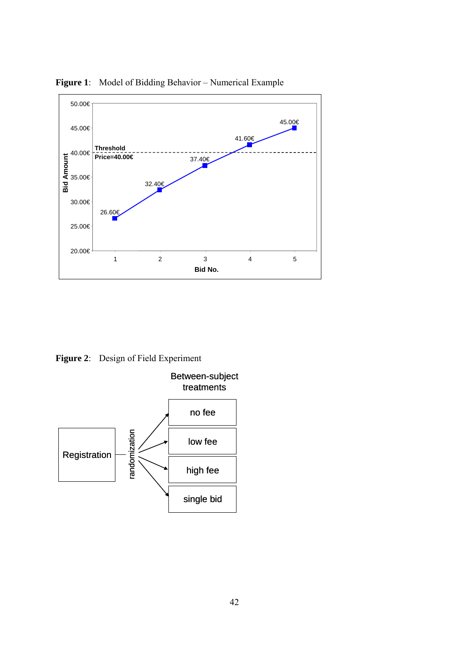

**Figure 1**: Model of Bidding Behavior – Numerical Example

**Figure 2**: Design of Field Experiment